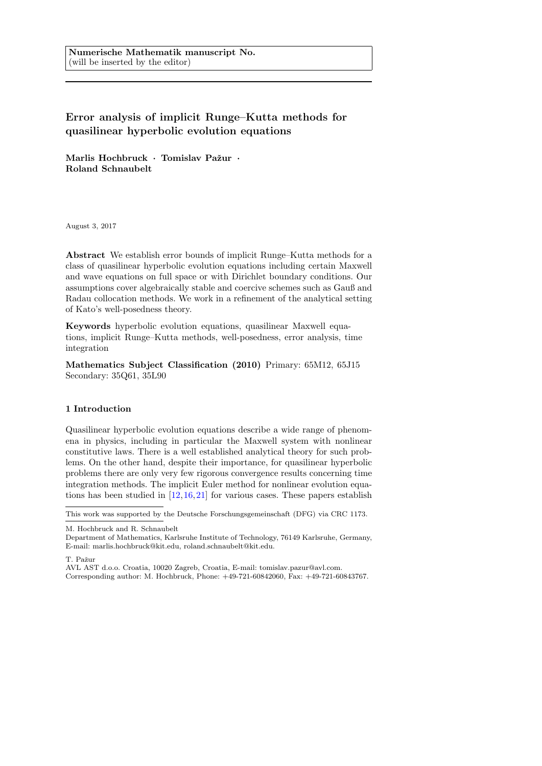Numerische Mathematik manuscript No. (will be inserted by the editor)

# Error analysis of implicit Runge–Kutta methods for quasilinear hyperbolic evolution equations

Marlis Hochbruck · Tomislav Pažur · Roland Schnaubelt

August 3, 2017

Abstract We establish error bounds of implicit Runge–Kutta methods for a class of quasilinear hyperbolic evolution equations including certain Maxwell and wave equations on full space or with Dirichlet boundary conditions. Our assumptions cover algebraically stable and coercive schemes such as Gauß and Radau collocation methods. We work in a refinement of the analytical setting of Kato's well-posedness theory.

Keywords hyperbolic evolution equations, quasilinear Maxwell equations, implicit Runge–Kutta methods, well-posedness, error analysis, time integration

Mathematics Subject Classification (2010) Primary: 65M12, 65J15 Secondary: 35Q61, 35L90

#### 1 Introduction

Quasilinear hyperbolic evolution equations describe a wide range of phenomena in physics, including in particular the Maxwell system with nonlinear constitutive laws. There is a well established analytical theory for such problems. On the other hand, despite their importance, for quasilinear hyperbolic problems there are only very few rigorous convergence results concerning time integration methods. The implicit Euler method for nonlinear evolution equations has been studied in [\[12,](#page-20-0)[16,](#page-21-0)[21\]](#page-21-1) for various cases. These papers establish

T. Pažur

AVL AST d.o.o. Croatia, 10020 Zagreb, Croatia, E-mail: tomislav.pazur@avl.com.

This work was supported by the Deutsche Forschungsgemeinschaft (DFG) via CRC 1173.

M. Hochbruck and R. Schnaubelt

Department of Mathematics, Karlsruhe Institute of Technology, 76149 Karlsruhe, Germany, E-mail: marlis.hochbruck@kit.edu, roland.schnaubelt@kit.edu.

Corresponding author: M. Hochbruck, Phone: +49-721-60842060, Fax: +49-721-60843767.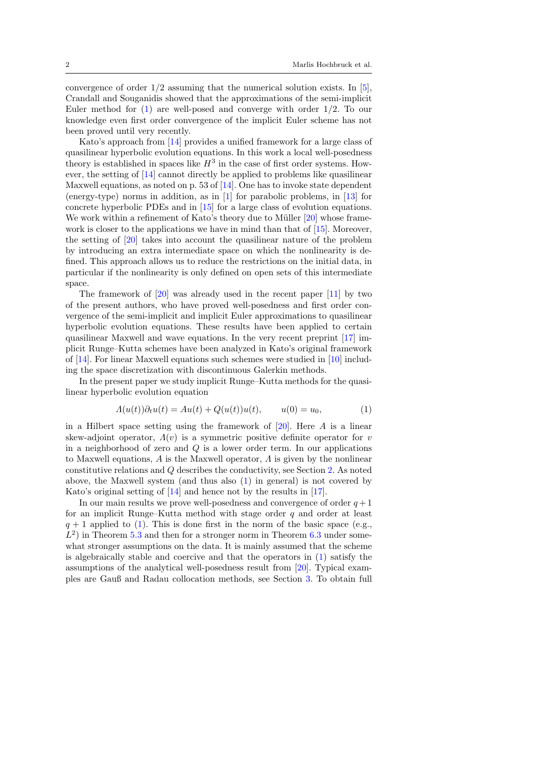convergence of order  $1/2$  assuming that the numerical solution exists. In [\[5\]](#page-20-1), Crandall and Souganidis showed that the approximations of the semi-implicit Euler method for [\(1\)](#page-1-0) are well-posed and converge with order 1/2. To our knowledge even first order convergence of the implicit Euler scheme has not been proved until very recently.

Kato's approach from [\[14\]](#page-20-2) provides a unified framework for a large class of quasilinear hyperbolic evolution equations. In this work a local well-posedness theory is established in spaces like  $H^3$  in the case of first order systems. However, the setting of [\[14\]](#page-20-2) cannot directly be applied to problems like quasilinear Maxwell equations, as noted on p. 53 of [\[14\]](#page-20-2). One has to invoke state dependent (energy-type) norms in addition, as in [\[1\]](#page-20-3) for parabolic problems, in [\[13\]](#page-20-4) for concrete hyperbolic PDEs and in [\[15\]](#page-21-2) for a large class of evolution equations. We work within a refinement of Kato's theory due to Müller  $[20]$  whose frame-work is closer to the applications we have in mind than that of [\[15\]](#page-21-2). Moreover, the setting of [\[20\]](#page-21-3) takes into account the quasilinear nature of the problem by introducing an extra intermediate space on which the nonlinearity is defined. This approach allows us to reduce the restrictions on the initial data, in particular if the nonlinearity is only defined on open sets of this intermediate space.

The framework of [\[20\]](#page-21-3) was already used in the recent paper [\[11\]](#page-20-5) by two of the present authors, who have proved well-posedness and first order convergence of the semi-implicit and implicit Euler approximations to quasilinear hyperbolic evolution equations. These results have been applied to certain quasilinear Maxwell and wave equations. In the very recent preprint [\[17\]](#page-21-4) implicit Runge–Kutta schemes have been analyzed in Kato's original framework of [\[14\]](#page-20-2). For linear Maxwell equations such schemes were studied in [\[10\]](#page-20-6) including the space discretization with discontinuous Galerkin methods.

In the present paper we study implicit Runge–Kutta methods for the quasilinear hyperbolic evolution equation

<span id="page-1-0"></span>
$$
A(u(t))\partial_t u(t) = Au(t) + Q(u(t))u(t), \qquad u(0) = u_0,
$$
\n<sup>(1)</sup>

in a Hilbert space setting using the framework of  $[20]$ . Here A is a linear skew-adjoint operator,  $\Lambda(v)$  is a symmetric positive definite operator for v in a neighborhood of zero and  $Q$  is a lower order term. In our applications to Maxwell equations, A is the Maxwell operator,  $\Lambda$  is given by the nonlinear constitutive relations and Q describes the conductivity, see Section [2.](#page-3-0) As noted above, the Maxwell system (and thus also  $(1)$  in general) is not covered by Kato's original setting of [\[14\]](#page-20-2) and hence not by the results in [\[17\]](#page-21-4).

In our main results we prove well-posedness and convergence of order  $q + 1$ for an implicit Runge–Kutta method with stage order  $q$  and order at least  $q + 1$  applied to [\(1\)](#page-1-0). This is done first in the norm of the basic space (e.g.,  $L^2$ ) in Theorem [5.3](#page-18-0) and then for a stronger norm in Theorem [6.3](#page-20-7) under somewhat stronger assumptions on the data. It is mainly assumed that the scheme is algebraically stable and coercive and that the operators in [\(1\)](#page-1-0) satisfy the assumptions of the analytical well-posedness result from [\[20\]](#page-21-3). Typical examples are Gauß and Radau collocation methods, see Section [3.](#page-6-0) To obtain full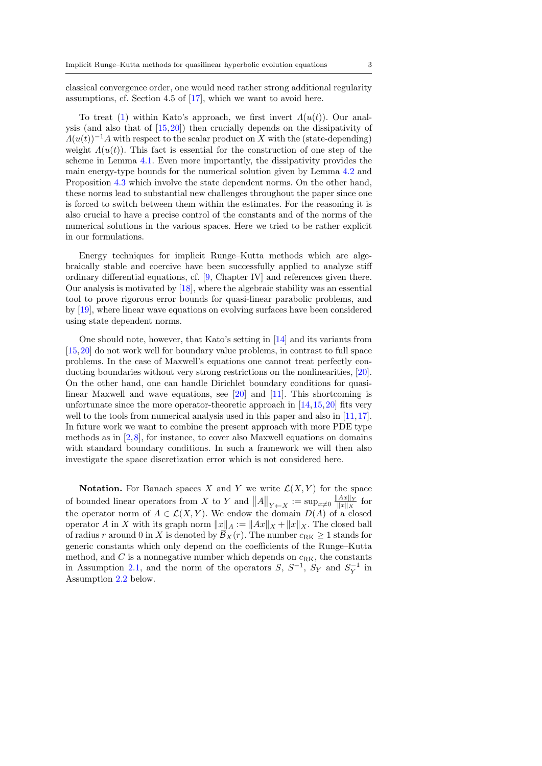classical convergence order, one would need rather strong additional regularity assumptions, cf. Section 4.5 of [\[17\]](#page-21-4), which we want to avoid here.

To treat [\(1\)](#page-1-0) within Kato's approach, we first invert  $\Lambda(u(t))$ . Our analysis (and also that of [\[15,](#page-21-2)[20\]](#page-21-3)) then crucially depends on the dissipativity of  $\Lambda(u(t))^{-1}A$  with respect to the scalar product on X with the (state-depending) weight  $\Lambda(u(t))$ . This fact is essential for the construction of one step of the scheme in Lemma [4.1.](#page-8-0) Even more importantly, the dissipativity provides the main energy-type bounds for the numerical solution given by Lemma [4.2](#page-11-0) and Proposition [4.3](#page-14-0) which involve the state dependent norms. On the other hand, these norms lead to substantial new challenges throughout the paper since one is forced to switch between them within the estimates. For the reasoning it is also crucial to have a precise control of the constants and of the norms of the numerical solutions in the various spaces. Here we tried to be rather explicit in our formulations.

Energy techniques for implicit Runge–Kutta methods which are algebraically stable and coercive have been successfully applied to analyze stiff ordinary differential equations, cf. [\[9,](#page-20-8) Chapter IV] and references given there. Our analysis is motivated by [\[18\]](#page-21-5), where the algebraic stability was an essential tool to prove rigorous error bounds for quasi-linear parabolic problems, and by [\[19\]](#page-21-6), where linear wave equations on evolving surfaces have been considered using state dependent norms.

One should note, however, that Kato's setting in [\[14\]](#page-20-2) and its variants from [\[15,](#page-21-2)[20\]](#page-21-3) do not work well for boundary value problems, in contrast to full space problems. In the case of Maxwell's equations one cannot treat perfectly conducting boundaries without very strong restrictions on the nonlinearities, [\[20\]](#page-21-3). On the other hand, one can handle Dirichlet boundary conditions for quasilinear Maxwell and wave equations, see [\[20\]](#page-21-3) and [\[11\]](#page-20-5). This shortcoming is unfortunate since the more operator-theoretic approach in  $[14, 15, 20]$  $[14, 15, 20]$  $[14, 15, 20]$  $[14, 15, 20]$  $[14, 15, 20]$  fits very well to the tools from numerical analysis used in this paper and also in [\[11,](#page-20-5)[17\]](#page-21-4). In future work we want to combine the present approach with more PDE type methods as in  $[2,8]$  $[2,8]$ , for instance, to cover also Maxwell equations on domains with standard boundary conditions. In such a framework we will then also investigate the space discretization error which is not considered here.

**Notation.** For Banach spaces X and Y we write  $\mathcal{L}(X, Y)$  for the space of bounded linear operators from X to Y and  $||A||_{Y \leftarrow X} := \sup_{x \neq 0} \frac{||Ax||_Y}{||x||_X}$  $\frac{\|Ax\|_Y}{\|x\|_X}$  for the operator norm of  $A \in \mathcal{L}(X, Y)$ . We endow the domain  $D(A)$  of a closed operator A in X with its graph norm  $||x||_A := ||Ax||_X + ||x||_X$ . The closed ball of radius r around 0 in X is denoted by  $\overline{B}_X(r)$ . The number  $c_{\text{RK}} \geq 1$  stands for generic constants which only depend on the coefficients of the Runge–Kutta method, and  $C$  is a nonnegative number which depends on  $c_{\text{RK}}$ , the constants in Assumption [2.1,](#page-3-1) and the norm of the operators  $S, S^{-1}, S_Y$  and  $S_Y^{-1}$  in Assumption [2.2](#page-4-0) below.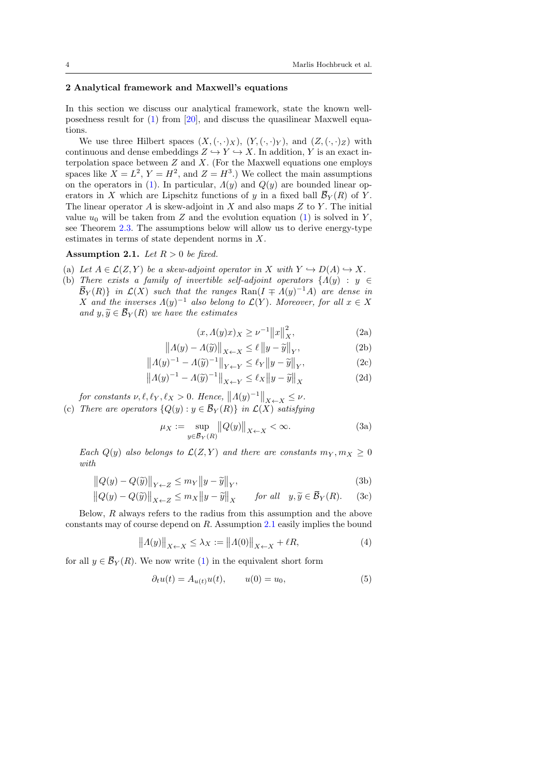#### <span id="page-3-0"></span>2 Analytical framework and Maxwell's equations

In this section we discuss our analytical framework, state the known wellposedness result for [\(1\)](#page-1-0) from [\[20\]](#page-21-3), and discuss the quasilinear Maxwell equations.

We use three Hilbert spaces  $(X, (\cdot, \cdot)_X)$ ,  $(Y, (\cdot, \cdot)_Y)$ , and  $(Z, (\cdot, \cdot)_Z)$  with continuous and dense embeddings  $Z \hookrightarrow Y \hookrightarrow X$ . In addition, Y is an exact interpolation space between  $Z$  and  $X$ . (For the Maxwell equations one employs spaces like  $X = L^2$ ,  $Y = H^2$ , and  $Z = H^3$ .) We collect the main assumptions on the operators in [\(1\)](#page-1-0). In particular,  $\Lambda(y)$  and  $Q(y)$  are bounded linear operators in X which are Lipschitz functions of y in a fixed ball  $\bar{\mathcal{B}}_Y(R)$  of Y. The linear operator A is skew-adjoint in X and also maps  $Z$  to Y. The initial value  $u_0$  will be taken from Z and the evolution equation [\(1\)](#page-1-0) is solved in Y, see Theorem [2.3.](#page-4-1) The assumptions below will allow us to derive energy-type estimates in terms of state dependent norms in X.

# <span id="page-3-1"></span>Assumption 2.1. Let  $R > 0$  be fixed.

- (a) Let  $A \in \mathcal{L}(Z, Y)$  be a skew-adjoint operator in X with  $Y \hookrightarrow D(A) \hookrightarrow X$ .
- (b) There exists a family of invertible self-adjoint operators  $\{ \Lambda(y) : y \in \mathbb{R}^2 \}$  $\overline{\mathcal{B}}_Y(R)$  in  $\mathcal{L}(X)$  such that the ranges  $\text{Ran}(I \mp A(y)^{-1}A)$  are dense in X and the inverses  $\Lambda(y)^{-1}$  also belong to  $\mathcal{L}(Y)$ . Moreover, for all  $x \in X$ and  $y, \tilde{y} \in \overline{\mathcal{B}}_Y(R)$  we have the estimates

<span id="page-3-7"></span><span id="page-3-5"></span><span id="page-3-2"></span>
$$
(x, \Lambda(y)x)_X \ge \nu^{-1} \|x\|_X^2,
$$
 (2a)

$$
||A(y) - A(\widetilde{y})||_{X \leftarrow X} \le \ell ||y - \widetilde{y}||_{Y},
$$
 (2b)

$$
|A(y)^{-1} - A(\widetilde{y})^{-1}|_{Y \leftarrow Y} \le \ell_Y ||y - \widetilde{y}||_Y, \tag{2c}
$$

$$
||A(y)^{-1} - A(\widetilde{y})^{-1}||_{Y \leftarrow Y} \le \ell_Y ||y - \widetilde{y}||_Y,
$$
  
\n
$$
||A(y)^{-1} - A(\widetilde{y})^{-1}||_{X \leftarrow Y} \le \ell_X ||y - \widetilde{y}||_X
$$
\n(2d)

$$
||A(y)^{-1} - A(\widetilde{y})^{-1}||_{X \leftarrow Y} \le \ell_X ||y - \widetilde{y}||_X
$$

for constants  $\nu, \ell, \ell_Y, \ell_X > 0$ . Hence,  $||A(y)^{-1}||_{X \leftarrow X} \leq \nu$ . (c) There are operators  ${Q(y) : y \in \overline{\mathcal{B}}_Y(R)}$  in  $\mathcal{L}(X)$  satisfying

<span id="page-3-8"></span><span id="page-3-3"></span>
$$
\mu_X := \sup_{y \in \overline{\mathcal{B}}_Y(R)} ||Q(y)||_{X \leftarrow X} < \infty. \tag{3a}
$$

Each  $Q(y)$  also belongs to  $\mathcal{L}(Z, Y)$  and there are constants  $m_Y, m_X \geq 0$ with

$$
||Q(y) - Q(\tilde{y})||_{Y \leftarrow Z} \le m_Y ||y - \tilde{y}||_Y,
$$
\n(3b)

$$
||Q(y) - Q(\widetilde{y})||_{X \leftarrow Z} \le m_X ||y - \widetilde{y}||_X \quad \text{for all} \quad y, \widetilde{y} \in \overline{\mathcal{B}}_Y(R). \quad (3c)
$$

Below, R always refers to the radius from this assumption and the above constants may of course depend on R. Assumption [2.1](#page-3-1) easily implies the bound

<span id="page-3-6"></span>
$$
||A(y)||_{X \leftarrow X} \le \lambda_X := ||A(0)||_{X \leftarrow X} + \ell R,
$$
 (4)

for all  $y \in \overline{\mathcal{B}}_Y(R)$ . We now write [\(1\)](#page-1-0) in the equivalent short form

<span id="page-3-4"></span>
$$
\partial_t u(t) = A_{u(t)} u(t), \qquad u(0) = u_0,\tag{5}
$$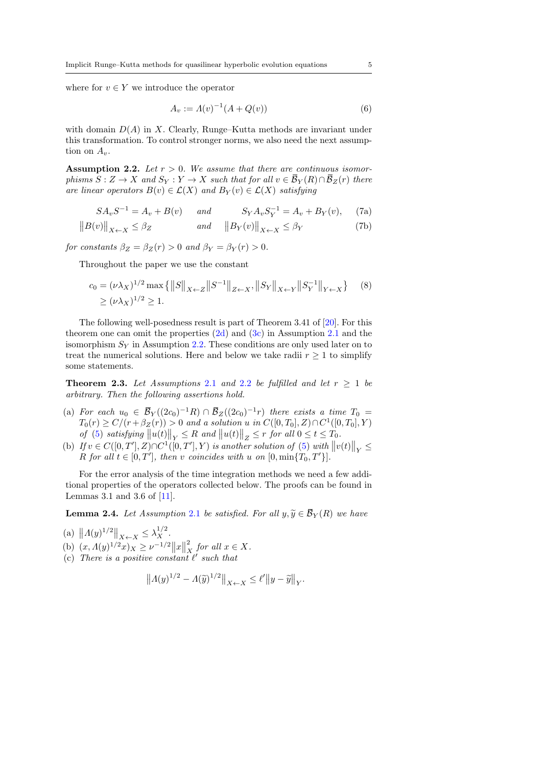where for  $v \in Y$  we introduce the operator

<span id="page-4-6"></span><span id="page-4-5"></span><span id="page-4-3"></span><span id="page-4-2"></span>
$$
A_v := A(v)^{-1}(A + Q(v))
$$
 (6)

with domain  $D(A)$  in X. Clearly, Runge–Kutta methods are invariant under this transformation. To control stronger norms, we also need the next assumption on  $A_v$ .

<span id="page-4-0"></span>Assumption 2.2. Let  $r > 0$ . We assume that there are continuous isomorphisms  $S: Z \to X$  and  $S_Y: Y \to X$  such that for all  $v \in \overline{\mathcal{B}}_Y(R) \cap \overline{\mathcal{B}}_Z(r)$  there are linear operators  $B(v) \in \mathcal{L}(X)$  and  $B_Y(v) \in \mathcal{L}(X)$  satisfying

$$
SA_vS^{-1} = A_v + B(v) \quad and \quad S_YA_vS_Y^{-1} = A_v + B_Y(v), \quad (7a)
$$

$$
||B(v)||_{X \leftarrow X} \le \beta_Z \qquad \qquad and \qquad ||B_Y(v)||_{X \leftarrow X} \le \beta_Y \tag{7b}
$$

for constants  $\beta_Z = \beta_Z(r) > 0$  and  $\beta_Y = \beta_Y(r) > 0$ .

Throughout the paper we use the constant

$$
c_0 = (\nu \lambda_X)^{1/2} \max \{ ||S||_{X \leftarrow Z} ||S^{-1}||_{Z \leftarrow X}, ||S_Y||_{X \leftarrow Y} ||S_Y^{-1}||_{Y \leftarrow X} \} \quad (8)
$$
  
\n
$$
\geq (\nu \lambda_X)^{1/2} \geq 1.
$$

The following well-posedness result is part of Theorem 3.41 of [\[20\]](#page-21-3). For this theorem one can omit the properties  $(2d)$  and  $(3c)$  in Assumption [2](#page-3-1).1 and the isomorphism  $S_Y$  in Assumption [2.2.](#page-4-0) These conditions are only used later on to treat the numerical solutions. Here and below we take radii  $r \geq 1$  to simplify some statements.

<span id="page-4-1"></span>**Theorem [2](#page-4-0).3.** Let Assumptions 2.1 and 2.2 be fulfilled and let  $r \geq 1$  be arbitrary. Then the following assertions hold.

- (a) For each  $u_0 \in \overline{\mathcal{B}}_Y((2c_0)^{-1}R) \cap \overline{\mathcal{B}}_Z((2c_0)^{-1}r)$  there exists a time  $T_0 =$  $T_0(r) \ge C/(r + \beta_Z(r)) > 0$  and a solution u in  $C([0, T_0], Z) \cap C^1([0, T_0], Y)$ of [\(5\)](#page-3-4) satisfying  $||u(t)||_Y \leq R$  and  $||u(t)||_Z \leq r$  for all  $0 \leq t \leq T_0$ .
- (b) If  $v \in C([0,T'],Z) \cap C^1([0,T'],Y)$  is another solution of [\(5\)](#page-3-4) with  $||v(t)||_Y \le$ R for all  $t \in [0, T']$ , then v coincides with u on  $[0, \min\{T_0, T'\}]$ .

For the error analysis of the time integration methods we need a few additional properties of the operators collected below. The proofs can be found in Lemmas 3.1 and 3.6 of  $[11]$ .

<span id="page-4-4"></span>**Lemma [2](#page-3-1).4.** Let Assumption 2.1 be satisfied. For all  $y, \tilde{y} \in \overline{\mathcal{B}}_Y(R)$  we have

(a)  $||A(y)^{1/2}||_{X \leftarrow X} \leq \lambda_X^{1/2}$ . (b)  $(x, \Lambda(y)^{1/2}x)_X \ge \nu^{-1/2} ||x||$ 2  $\int_{X}^{2}$  for all  $x \in X$ . (c) There is a positive constant  $\ell'$  such that

$$
\left\|A(y)^{1/2} - A(\widetilde{y})^{1/2}\right\|_{X \leftarrow X} \le \ell' \left\|y - \widetilde{y}\right\|_{Y}.
$$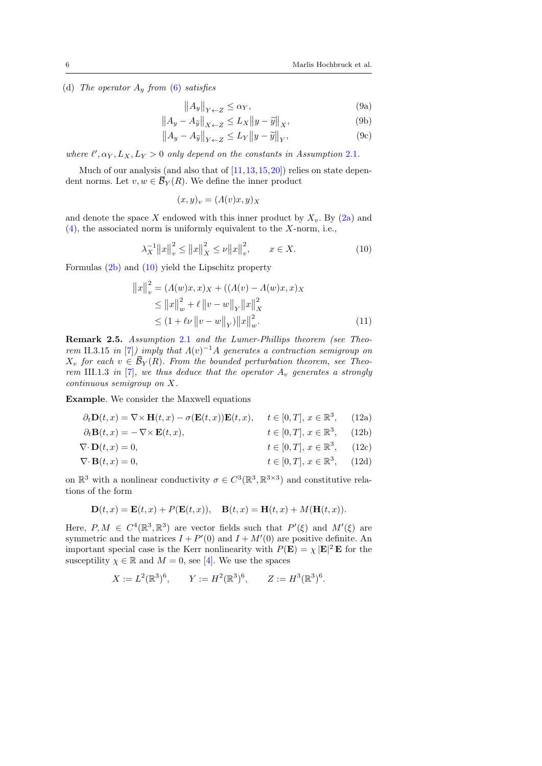(d) The operator  $A_y$  from [\(6\)](#page-4-2) satisfies

<span id="page-5-9"></span><span id="page-5-7"></span><span id="page-5-6"></span>
$$
||A_y||_{Y \leftarrow Z} \le \alpha_Y,\tag{9a}
$$

$$
||A_y - A_{\widetilde{y}}||_{X \leftarrow Z} \le L_X ||y - \widetilde{y}||_X,
$$
\n(9b)

$$
||A_y - A_{\widetilde{y}}||_{Y \leftarrow Z} \le L_Y ||y - \widetilde{y}||_Y, \tag{9c}
$$

where  $\ell', \alpha_Y, L_X, L_Y > 0$  only depend on the constants in Assumption [2](#page-3-1).1.

Much of our analysis (and also that of  $[11, 13, 15, 20]$  $[11, 13, 15, 20]$  $[11, 13, 15, 20]$  $[11, 13, 15, 20]$  $[11, 13, 15, 20]$  $[11, 13, 15, 20]$  $[11, 13, 15, 20]$ ) relies on state dependent norms. Let  $v, w \in \overline{\mathcal{B}}_Y(R)$ . We define the inner product

<span id="page-5-8"></span>
$$
(x,y)_v = (A(v)x, y)_X
$$

and denote the space X endowed with this inner product by  $X_v$ . By [\(2a\)](#page-3-5) and [\(4\)](#page-3-6), the associated norm is uniformly equivalent to the X-norm, i.e.,

<span id="page-5-0"></span>
$$
\lambda_X^{-1} \|x\|_v^2 \le \|x\|_X^2 \le \nu \|x\|_v^2, \qquad x \in X. \tag{10}
$$

Formulas [\(2b\)](#page-3-7) and [\(10\)](#page-5-0) yield the Lipschitz property

<span id="page-5-4"></span><span id="page-5-3"></span><span id="page-5-1"></span>
$$
||x||_v^2 = (A(w)x, x)_X + ((A(v) - A(w)x, x)_X
$$
  
\n
$$
\le ||x||_w^2 + \ell ||v - w||_Y ||x||_X^2
$$
  
\n
$$
\le (1 + \ell \nu ||v - w||_Y) ||x||_w^2.
$$
\n(11)

<span id="page-5-5"></span>Remark 2.5. Assumption [2](#page-3-1).1 and the Lumer-Phillips theorem (see Theo-rem II.3.15 in [\[7\]](#page-20-11)) imply that  $\Lambda(v)^{-1}A$  generates a contraction semigroup on  $X_v$  for each  $v \in \overline{\mathcal{B}}_Y(R)$ . From the bounded perturbation theorem, see Theo-rem III.1.3 in [\[7\]](#page-20-11), we thus deduce that the operator  $A_v$  generates a strongly continuous semigroup on X.

Example. We consider the Maxwell equations

$$
\partial_t \mathbf{D}(t, x) = \nabla \times \mathbf{H}(t, x) - \sigma(\mathbf{E}(t, x)) \mathbf{E}(t, x), \quad t \in [0, T], \, x \in \mathbb{R}^3, \tag{12a}
$$

$$
\partial_t \mathbf{B}(t, x) = -\nabla \times \mathbf{E}(t, x), \qquad t \in [0, T], x \in \mathbb{R}^3, \qquad (12b)
$$

$$
\nabla \cdot \mathbf{D}(t, x) = 0, \qquad t \in [0, T], \, x \in \mathbb{R}^3, \qquad (12c)
$$

$$
\nabla \cdot \mathbf{B}(t, x) = 0, \qquad t \in [0, T], \, x \in \mathbb{R}^3, \qquad (12d)
$$

on  $\mathbb{R}^3$  with a nonlinear conductivity  $\sigma \in C^3(\mathbb{R}^3, \mathbb{R}^{3\times3})$  and constitutive relations of the form

<span id="page-5-2"></span>
$$
\mathbf{D}(t,x) = \mathbf{E}(t,x) + P(\mathbf{E}(t,x)), \quad \mathbf{B}(t,x) = \mathbf{H}(t,x) + M(\mathbf{H}(t,x)).
$$

Here,  $P, M \in C^4(\mathbb{R}^3, \mathbb{R}^3)$  are vector fields such that  $P'(\xi)$  and  $M'(\xi)$  are symmetric and the matrices  $I + P'(0)$  and  $I + M'(0)$  are positive definite. An important special case is the Kerr nonlinearity with  $P(\mathbf{E}) = \chi |\mathbf{E}|^2 \mathbf{E}$  for the susceptility  $\chi \in \mathbb{R}$  and  $M = 0$ , see [\[4\]](#page-20-12). We use the spaces

$$
X := L^2(\mathbb{R}^3)^6
$$
,  $Y := H^2(\mathbb{R}^3)^6$ ,  $Z := H^3(\mathbb{R}^3)^6$ .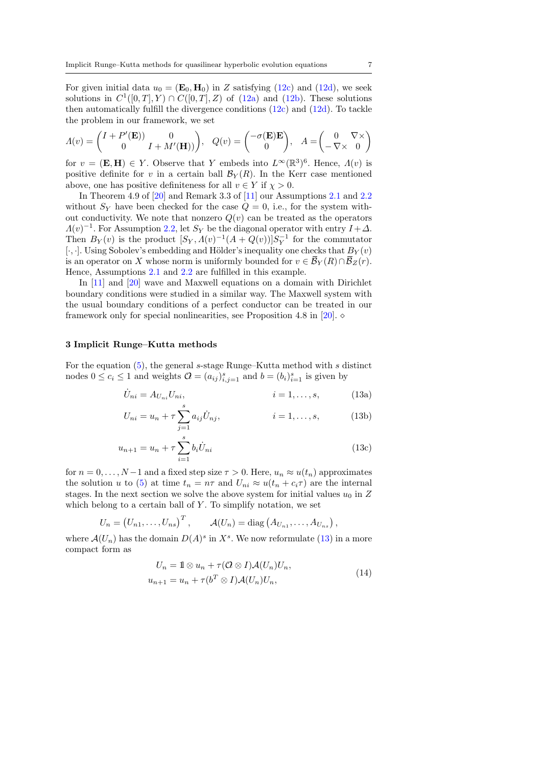For given initial data  $u_0 = (\mathbf{E}_0, \mathbf{H}_0)$  in Z satisfying [\(12c\)](#page-5-1) and [\(12d\)](#page-5-2), we seek solutions in  $C^1([0,T], Y) \cap C([0,T], Z)$  of  $(12a)$  and  $(12b)$ . These solutions then automatically fulfill the divergence conditions [\(12c\)](#page-5-1) and [\(12d\)](#page-5-2). To tackle the problem in our framework, we set

$$
\Lambda(v) = \begin{pmatrix} I + P'(\mathbf{E}) & 0 \\ 0 & I + M'(\mathbf{H}) \end{pmatrix}, \quad Q(v) = \begin{pmatrix} -\sigma(\mathbf{E})\mathbf{E} \\ 0 \end{pmatrix}, \quad A = \begin{pmatrix} 0 & \nabla \times \\ -\nabla \times & 0 \end{pmatrix}
$$

for  $v = (\mathbf{E}, \mathbf{H}) \in Y$ . Observe that Y embeds into  $L^{\infty}(\mathbb{R}^3)^6$ . Hence,  $\Lambda(v)$  is positive definite for v in a certain ball  $\mathcal{B}_Y(R)$ . In the Kerr case mentioned above, one has positive definiteness for all  $v \in Y$  if  $\chi > 0$ .

In Theorem 4.9 of [\[20\]](#page-21-3) and Remark 3.3 of [\[11\]](#page-20-5) our Assumptions [2.1](#page-3-1) and [2.2](#page-4-0) without  $S_Y$  have been checked for the case  $Q = 0$ , i.e., for the system without conductivity. We note that nonzero  $Q(v)$  can be treated as the operators  $\Lambda(v)^{-1}$ . For Assumption [2.2,](#page-4-0) let  $S_Y$  be the diagonal operator with entry  $I + \Delta$ . Then  $B_Y(v)$  is the product  $[S_Y, \Lambda(v)^{-1}(A + Q(v))]S_Y^{-1}$  for the commutator [ $\cdot$ ,  $\cdot$ ]. Using Sobolev's embedding and Hölder's inequality one checks that  $B_Y(v)$ is an operator on X whose norm is uniformly bounded for  $v \in \overline{\mathcal{B}}_Y(R) \cap \overline{\mathcal{B}}_Z(r)$ . Hence, Assumptions [2.1](#page-3-1) and [2.2](#page-4-0) are fulfilled in this example.

In [\[11\]](#page-20-5) and [\[20\]](#page-21-3) wave and Maxwell equations on a domain with Dirichlet boundary conditions were studied in a similar way. The Maxwell system with the usual boundary conditions of a perfect conductor can be treated in our framework only for special nonlinearities, see Proposition 4.8 in [\[20\]](#page-21-3).  $\diamond$ 

#### <span id="page-6-0"></span>3 Implicit Runge–Kutta methods

For the equation [\(5\)](#page-3-4), the general s-stage Runge–Kutta method with s distinct nodes  $0 \le c_i \le 1$  and weights  $\mathcal{O} = (a_{ij})_{i,j=1}^s$  and  $b = (b_i)_{i=1}^s$  is given by

<span id="page-6-1"></span>
$$
\dot{U}_{ni} = A_{U_{ni}} U_{ni}, \qquad i = 1, ..., s,
$$
 (13a)

<span id="page-6-4"></span><span id="page-6-3"></span>
$$
U_{ni} = u_n + \tau \sum_{j=1}^{s} a_{ij} \dot{U}_{nj}, \qquad i = 1, ..., s,
$$
 (13b)

$$
u_{n+1} = u_n + \tau \sum_{i=1}^{s} b_i \dot{U}_{ni}
$$
\n(13c)

for  $n = 0, \ldots, N-1$  and a fixed step size  $\tau > 0$ . Here,  $u_n \approx u(t_n)$  approximates the solution u to [\(5\)](#page-3-4) at time  $t_n = n\tau$  and  $U_{ni} \approx u(t_n + c_i \tau)$  are the internal stages. In the next section we solve the above system for initial values  $u_0$  in Z which belong to a certain ball of  $Y$ . To simplify notation, we set

$$
U_n = (U_{n1}, \ldots, U_{ns})^T, \qquad \mathcal{A}(U_n) = \text{diag}(A_{U_{n1}}, \ldots, A_{U_{ns}}),
$$

where  $\mathcal{A}(U_n)$  has the domain  $D(A)^s$  in  $X^s$ . We now reformulate [\(13\)](#page-6-1) in a more compact form as

<span id="page-6-2"></span>
$$
U_n = 1 \otimes u_n + \tau(\mathcal{O} \otimes I) \mathcal{A}(U_n) U_n,
$$
  
\n
$$
u_{n+1} = u_n + \tau(b^T \otimes I) \mathcal{A}(U_n) U_n,
$$
\n(14)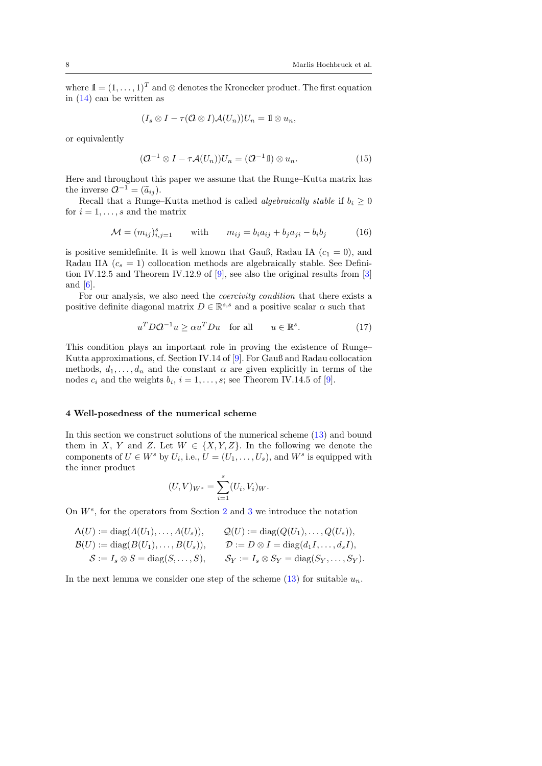where  $1 = (1, \ldots, 1)^T$  and ⊗ denotes the Kronecker product. The first equation in [\(14\)](#page-6-2) can be written as

$$
(I_s \otimes I - \tau(Q \otimes I)A(U_n))U_n = 1 \otimes u_n,
$$

or equivalently

<span id="page-7-1"></span>
$$
(\mathcal{Q}^{-1} \otimes I - \tau \mathcal{A}(U_n))U_n = (\mathcal{Q}^{-1}1) \otimes u_n.
$$
 (15)

Here and throughout this paper we assume that the Runge–Kutta matrix has the inverse  $Q^{-1} = (\tilde{a}_{ij}).$ <br>Bogall that a Bungo

Recall that a Runge–Kutta method is called *algebraically stable* if  $b_i \geq 0$ for  $i = 1, \ldots, s$  and the matrix

<span id="page-7-2"></span>
$$
\mathcal{M} = (m_{ij})_{i,j=1}^s \qquad \text{with} \qquad m_{ij} = b_i a_{ij} + b_j a_{ji} - b_i b_j \tag{16}
$$

is positive semidefinite. It is well known that Gauß, Radau IA  $(c_1 = 0)$ , and Radau IIA  $(c_s = 1)$  collocation methods are algebraically stable. See Definition IV.12.5 and Theorem IV.12.9 of [\[9\]](#page-20-8), see also the original results from [\[3\]](#page-20-13) and [\[6\]](#page-20-14).

For our analysis, we also need the *coercivity condition* that there exists a positive definite diagonal matrix  $D \in \mathbb{R}^{s,s}$  and a positive scalar  $\alpha$  such that

<span id="page-7-0"></span>
$$
u^T D Q^{-1} u \ge \alpha u^T D u \quad \text{for all} \qquad u \in \mathbb{R}^s. \tag{17}
$$

This condition plays an important role in proving the existence of Runge– Kutta approximations, cf. Section IV.14 of [\[9\]](#page-20-8). For Gauß and Radau collocation methods,  $d_1, \ldots, d_n$  and the constant  $\alpha$  are given explicitly in terms of the nodes  $c_i$  and the weights  $b_i$ ,  $i = 1, \ldots, s$ ; see Theorem IV.14.5 of [\[9\]](#page-20-8).

### 4 Well-posedness of the numerical scheme

In this section we construct solutions of the numerical scheme [\(13\)](#page-6-1) and bound them in X, Y and Z. Let  $W \in \{X, Y, Z\}$ . In the following we denote the components of  $U \in W^s$  by  $U_i$ , i.e.,  $U = (U_1, \ldots, U_s)$ , and  $W^s$  is equipped with the inner product

$$
(U, V)_{W^s} = \sum_{i=1}^s (U_i, V_i)_W.
$$

On  $W^s$ , for the operators from Section [2](#page-3-0) and [3](#page-6-0) we introduce the notation

$$
\Lambda(U) := \text{diag}(A(U_1), \dots, A(U_s)), \qquad Q(U) := \text{diag}(Q(U_1), \dots, Q(U_s)),
$$
  
\n
$$
\mathcal{B}(U) := \text{diag}(B(U_1), \dots, B(U_s)), \qquad \mathcal{D} := D \otimes I = \text{diag}(d_1 I, \dots, d_s I),
$$
  
\n
$$
\mathcal{S} := I_s \otimes S = \text{diag}(S, \dots, S), \qquad \mathcal{S}_Y := I_s \otimes S_Y = \text{diag}(S_Y, \dots, S_Y).
$$

In the next lemma we consider one step of the scheme  $(13)$  for suitable  $u_n$ .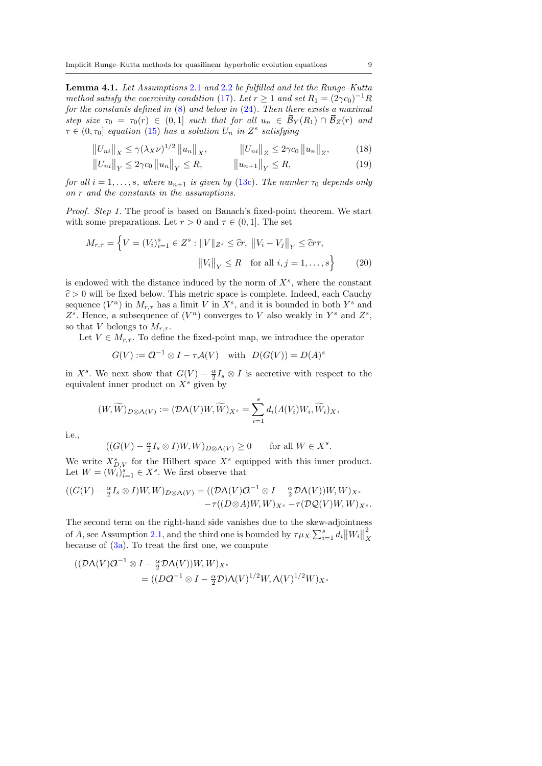<span id="page-8-0"></span>Lemma 4.1. Let Assumptions [2](#page-3-1).1 and [2](#page-4-0).2 be fulfilled and let the Runge–Kutta method satisfy the coercivity condition [\(17\)](#page-7-0). Let  $r \geq 1$  and set  $R_1 = (2\gamma c_0)^{-1}R$ for the constants defined in  $(8)$  and below in  $(24)$ . Then there exists a maximal step size  $\tau_0 = \tau_0(r) \in (0,1]$  such that for all  $u_n \in \overline{\mathcal{B}}_Y(R_1) \cap \overline{\mathcal{B}}_Z(r)$  and  $\tau \in (0, \tau_0]$  equation [\(15\)](#page-7-1) has a solution  $U_n$  in  $Z^s$  satisfying

$$
||U_{ni}||_X \le \gamma (\lambda_X \nu)^{1/2} ||u_n||_X, \qquad ||U_{ni}||_Z \le 2\gamma c_0 ||u_n||_Z, \qquad (18)
$$

<span id="page-8-3"></span><span id="page-8-2"></span>
$$
||U_{ni}||_Y \le 2\gamma c_0 ||u_n||_Y \le R, \qquad ||u_{n+1}||_Y \le R,\tag{19}
$$

for all  $i = 1, ..., s$ , where  $u_{n+1}$  is given by [\(13c\)](#page-6-3). The number  $\tau_0$  depends only on r and the constants in the assumptions.

Proof. Step 1. The proof is based on Banach's fixed-point theorem. We start with some preparations. Let  $r > 0$  and  $\tau \in (0, 1]$ . The set

$$
M_{r,\tau} = \left\{ V = (V_i)_{i=1}^s \in Z^s : ||V||_{Z^s} \leq \hat{c}r, ||V_i - V_j||_Y \leq \hat{c}r\tau, ||V_i||_Y \leq R \text{ for all } i, j = 1, ..., s \right\}
$$
 (20)

is endowed with the distance induced by the norm of  $X^s$ , where the constant  $\hat{c} > 0$  will be fixed below. This metric space is complete. Indeed, each Cauchy sequence  $(V^n)$  in  $M_{r,\tau}$  has a limit V in  $X^s$ , and it is bounded in both  $Y^s$  and  $Z^s$ . Hence, a subsequence of  $(V^n)$  converges to V also weakly in  $Y^s$  and  $Z^s$ , so that V belongs to  $M_{r,\tau}$ .

Let  $V \in M_{r,\tau}$ . To define the fixed-point map, we introduce the operator

<span id="page-8-1"></span>
$$
G(V) := \mathcal{Q}^{-1} \otimes I - \tau \mathcal{A}(V) \quad \text{with} \quad D(G(V)) = D(A)^s
$$

in  $X^s$ . We next show that  $G(V) - \frac{\alpha}{2}I_s \otimes I$  is accretive with respect to the equivalent inner product on  $X<sup>s</sup>$  given by

$$
(W,\widetilde{W})_{D\otimes \Lambda(V)}:=(\mathcal{D}\Lambda(V)W,\widetilde{W})_{X^s}=\sum_{i=1}^sd_i(\Lambda(V_i)W_i,\widetilde{W}_i)_{X},
$$

i.e.,

$$
((G(V) - \frac{\alpha}{2}I_s \otimes I)W, W)_{D \otimes \Lambda(V)} \ge 0 \quad \text{for all } W \in X^s.
$$

We write  $X_{D,V}^s$  for the Hilbert space  $X^s$  equipped with this inner product. Let  $W = (W_i)_{i=1}^s \in X^s$ . We first observe that

$$
((G(V) - \frac{\alpha}{2}I_s \otimes I)W,W)_{D \otimes \Lambda(V)} = ((\mathcal{D}\Lambda(V)\mathcal{Q}^{-1} \otimes I - \frac{\alpha}{2}\mathcal{D}\Lambda(V))W,W)_{X^s}
$$

$$
-\tau((D \otimes A)W,W)_{X^s} - \tau(\mathcal{D}\mathcal{Q}(V)W,W)_{X^s}.
$$

The second term on the right-hand side vanishes due to the skew-adjointness of A, see Assumption [2.1,](#page-3-1) and the third one is bounded by  $\tau \mu_X \sum_{i=1}^s d_i ||W_i||$ 2 X because of  $(3a)$ . To treat the first one, we compute

$$
\begin{aligned} ((\mathcal{D}\Lambda(V)\mathcal{Q}^{-1}\otimes I - \frac{\alpha}{2}\mathcal{D}\Lambda(V))W, W)_{X^s} \\ &= ((D\mathcal{Q}^{-1}\otimes I - \frac{\alpha}{2}\mathcal{D})\Lambda(V)^{1/2}W, \Lambda(V)^{1/2}W)_{X^s} \end{aligned}
$$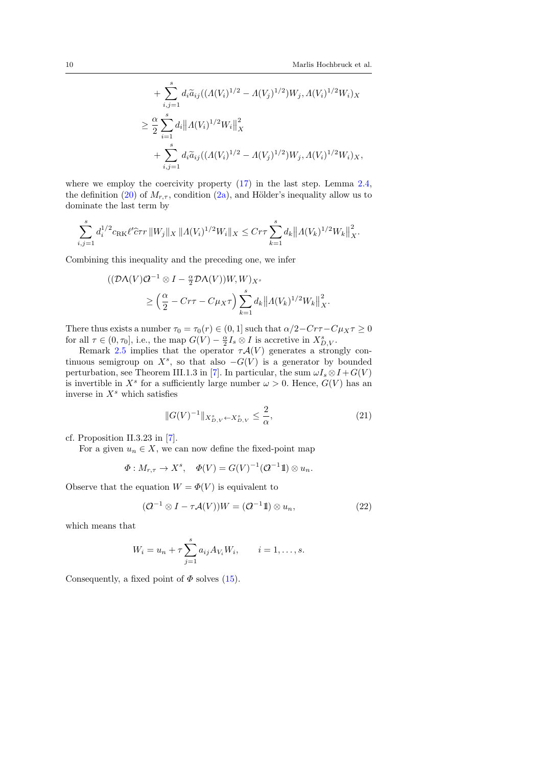+ 
$$
\sum_{i,j=1}^{s} d_i \tilde{a}_{ij} ((\Lambda(V_i)^{1/2} - \Lambda(V_j)^{1/2}) W_j, \Lambda(V_i)^{1/2} W_i)_X
$$
  
\n
$$
\geq \frac{\alpha}{2} \sum_{i=1}^{s} d_i ||\Lambda(V_i)^{1/2} W_i||_X^2
$$
  
\n+ 
$$
\sum_{i,j=1}^{s} d_i \tilde{a}_{ij} ((\Lambda(V_i)^{1/2} - \Lambda(V_j)^{1/2}) W_j, \Lambda(V_i)^{1/2} W_i)_X,
$$

where we employ the coercivity property  $(17)$  in the last step. Lemma [2.4,](#page-4-4) the definition [\(20\)](#page-8-1) of  $M_{r,\tau}$ , condition [\(2a\)](#page-3-5), and Hölder's inequality allow us to dominate the last term by

$$
\sum_{i,j=1}^s d_i^{1/2} c_{\text{RK}} \ell' \hat{c} \tau r ||W_j||_X ||\Lambda(V_i)^{1/2} W_i||_X \leq C r \tau \sum_{k=1}^s d_k ||\Lambda(V_k)^{1/2} W_k||_X^2.
$$

Combining this inequality and the preceding one, we infer

$$
\begin{aligned} \left( (\mathcal{D}\Lambda(V)\mathcal{Q}^{-1} \otimes I - \frac{\alpha}{2} \mathcal{D}\Lambda(V))W, W \right)_{X^s} \\ &\geq \left( \frac{\alpha}{2} - C r \tau - C \mu_X \tau \right) \sum_{k=1}^s d_k \left\| \Lambda(V_k)^{1/2} W_k \right\|_X^2. \end{aligned}
$$

There thus exists a number  $\tau_0 = \tau_0(r) \in (0, 1]$  such that  $\alpha/2 - Cr\tau - C\mu_X \tau \ge 0$ for all  $\tau \in (0, \tau_0]$ , i.e., the map  $G(V) - \frac{\alpha}{2} I_s \otimes I$  is accretive in  $X_{D,V}^s$ .

Remark [2.5](#page-5-5) implies that the operator  $\tau \mathcal{A}(V)$  generates a strongly continuous semigroup on  $X^s$ , so that also  $-G(V)$  is a generator by bounded perturbation, see Theorem III.1.3 in [\[7\]](#page-20-11). In particular, the sum  $\omega I_s \otimes I + G(V)$ is invertible in  $X^s$  for a sufficiently large number  $\omega > 0$ . Hence,  $G(V)$  has an inverse in  $X^s$  which satisfies

<span id="page-9-0"></span>
$$
||G(V)^{-1}||_{X_{D,V}^s \leftarrow X_{D,V}^s} \le \frac{2}{\alpha},\tag{21}
$$

cf. Proposition II.3.23 in [\[7\]](#page-20-11).

For a given  $u_n \in X$ , we can now define the fixed-point map

$$
\Phi: M_{r,\tau} \to X^s, \quad \Phi(V) = G(V)^{-1}(\mathcal{Q}^{-1}1\!1) \otimes u_n.
$$

Observe that the equation  $W = \Phi(V)$  is equivalent to

<span id="page-9-1"></span>
$$
(\mathcal{Q}^{-1} \otimes I - \tau \mathcal{A}(V))W = (\mathcal{Q}^{-1}1) \otimes u_n, \qquad (22)
$$

which means that

$$
W_i = u_n + \tau \sum_{j=1}^s a_{ij} A_{V_i} W_i
$$
,  $i = 1, ..., s$ .

Consequently, a fixed point of  $\Phi$  solves [\(15\)](#page-7-1).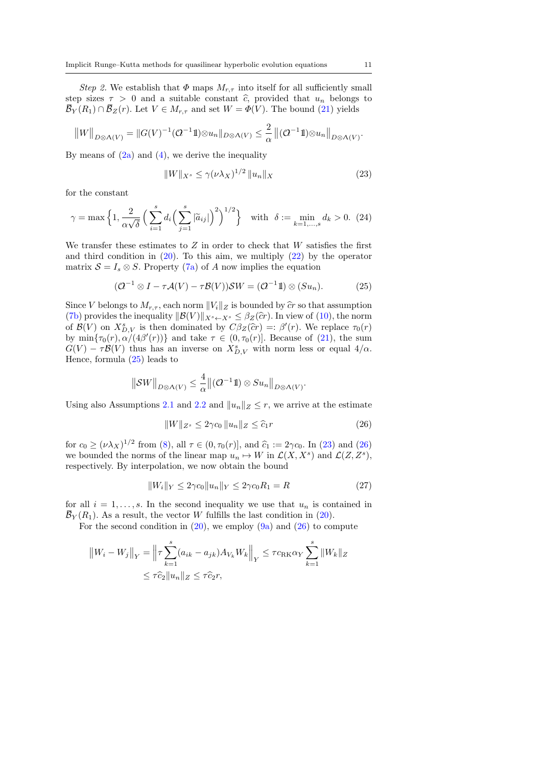Step 2. We establish that  $\Phi$  maps  $M_{r,\tau}$  into itself for all sufficiently small step sizes  $\tau > 0$  and a suitable constant  $\hat{c}$ , provided that  $u_n$  belongs to  $\overline{\mathcal{B}}_Y(R_1) \cap \overline{\mathcal{B}}_Z(r)$ . Let  $V \in M_{r,\tau}$  and set  $W = \Phi(V)$ . The bound [\(21\)](#page-9-0) yields

$$
||W||_{D\otimes \Lambda(V)} = ||G(V)^{-1}(\mathcal{Q}^{-1}1)\otimes u_n||_{D\otimes \Lambda(V)} \leq \frac{2}{\alpha} ||(\mathcal{Q}^{-1}1)\otimes u_n||_{D\otimes \Lambda(V)}.
$$

By means of  $(2a)$  and  $(4)$ , we derive the inequality

<span id="page-10-2"></span>
$$
||W||_{X^{s}} \le \gamma(\nu \lambda_X)^{1/2} ||u_n||_X
$$
 (23)

for the constant

<span id="page-10-0"></span>
$$
\gamma = \max\left\{1, \frac{2}{\alpha\sqrt{\delta}}\left(\sum_{i=1}^s d_i \left(\sum_{j=1}^s |\widetilde{a}_{ij}|\right)^2\right)^{1/2}\right\} \quad \text{with} \quad \delta := \min_{k=1,\dots,s} d_k > 0. \tag{24}
$$

We transfer these estimates to  $Z$  in order to check that  $W$  satisfies the first and third condition in  $(20)$ . To this aim, we multiply  $(22)$  by the operator matrix  $S = I_s \otimes S$ . Property [\(7a\)](#page-4-5) of A now implies the equation

<span id="page-10-1"></span>
$$
(\mathcal{O}^{-1} \otimes I - \tau \mathcal{A}(V) - \tau \mathcal{B}(V))\mathcal{S}W = (\mathcal{O}^{-1}1\!1) \otimes (Su_n). \tag{25}
$$

Since V belongs to  $M_{r,\tau}$ , each norm  $||V_i||_Z$  is bounded by  $\hat{c}r$  so that assumption [\(7b\)](#page-4-6) provides the inequality  $||\mathcal{B}(V)||_{X^s \leftarrow X^s} \leq \beta_Z(\hat{c}r)$ . In view of [\(10\)](#page-5-0), the norm of  $\mathcal{B}(V)$  on  $X_{D,V}^s$  is then dominated by  $C\beta_Z(\hat{c}r) =: \beta'(r)$ . We replace  $\tau_0(r)$ <br>by  $\min\{\tau_s(r), \alpha/(4\beta'(r))\}$  and take  $\tau \in (0, \tau_s(r)]$ . Because of  $(21)$ , the sum by  $\min{\lbrace \tau_0(r), \alpha/(4\beta'(r)) \rbrace}$  and take  $\tau \in (0, \tau_0(r)]$ . Because of [\(21\)](#page-9-0), the sum  $G(V) - \tau \mathcal{B}(V)$  thus has an inverse on  $X_{D,V}^s$  with norm less or equal  $4/\alpha$ . Hence, formula [\(25\)](#page-10-1) leads to

$$
\|\mathcal{SW}\|_{D\otimes\Lambda(V)}\leq \frac{4}{\alpha}\|(\mathcal{O}^{-1}\mathbb{1})\otimes Su_n\|_{D\otimes\Lambda(V)}.
$$

Using also Assumptions [2.1](#page-3-1) and [2.2](#page-4-0) and  $||u_n||_Z \leq r$ , we arrive at the estimate

<span id="page-10-3"></span>
$$
||W||_{Z^s} \le 2\gamma c_0 ||u_n||_Z \le \widehat{c}_1 r \tag{26}
$$

for  $c_0 \ge (\nu \lambda_X)^{1/2}$  from [\(8\)](#page-4-3), all  $\tau \in (0, \tau_0(r)]$ , and  $\hat{c}_1 := 2\gamma c_0$ . In [\(23\)](#page-10-2) and [\(26\)](#page-10-3) we bounded the norms of the linear map  $u_n \mapsto W$  in  $\mathcal{L}(X, X^s)$  and  $\mathcal{L}(Z, Z^s)$ , respectively. By interpolation, we now obtain the bound

<span id="page-10-4"></span>
$$
||W_i||_Y \le 2\gamma c_0 ||u_n||_Y \le 2\gamma c_0 R_1 = R
$$
\n(27)

for all  $i = 1, \ldots, s$ . In the second inequality we use that  $u_n$  is contained in  $\overline{\mathcal{B}}_Y(R_1)$ . As a result, the vector W fulfills the last condition in [\(20\)](#page-8-1).

For the second condition in  $(20)$ , we employ  $(9a)$  and  $(26)$  to compute

$$
||W_i - W_j||_Y = ||\tau \sum_{k=1}^s (a_{ik} - a_{jk}) A_{V_k} W_k||_Y \le \tau c_{\text{RK}} \alpha_Y \sum_{k=1}^s ||W_k||_Z
$$
  

$$
\le \tau \widehat{c}_2 ||u_n||_Z \le \tau \widehat{c}_2 r,
$$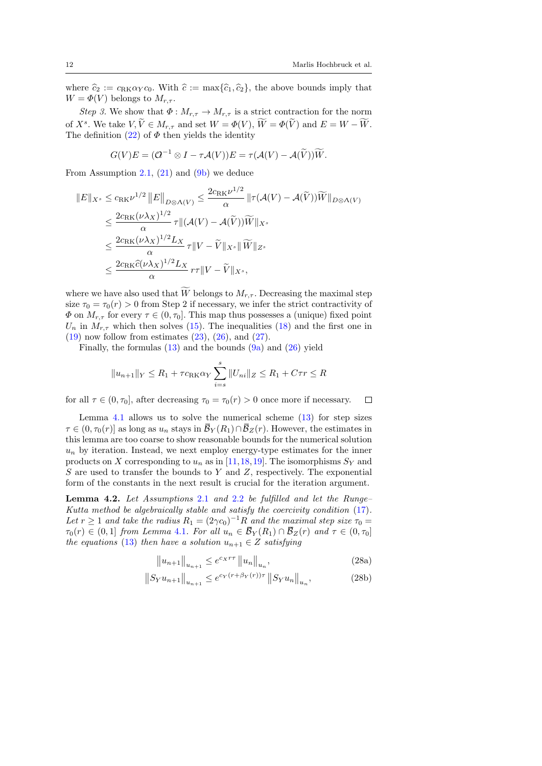where  $\hat{c}_2 := c_{RK} \alpha_Y c_0$ . With  $\hat{c} := \max{\{\hat{c}_1, \hat{c}_2\}}$ , the above bounds imply that  $W = \Phi(V)$  belongs to  $M_{r,\tau}$ .

Step 3. We show that  $\Phi: M_{r,\tau} \to M_{r,\tau}$  is a strict contraction for the norm of  $X^s$ . We take  $V, \tilde{V} \in M_{r,\tau}$  and set  $W = \Phi(V), \tilde{W} = \Phi(\tilde{V})$  and  $E = W - \tilde{W}$ . The definition  $(22)$  of  $\Phi$  then yields the identity

$$
G(V)E = (Q^{-1} \otimes I - \tau \mathcal{A}(V))E = \tau(\mathcal{A}(V) - \mathcal{A}(\widetilde{V}))\widetilde{W}.
$$

From Assumption [2.1,](#page-3-1)  $(21)$  and  $(9b)$  we deduce

$$
||E||_{X^{s}} \leq c_{\text{RK}} \nu^{1/2} ||E||_{D \otimes \Lambda(V)} \leq \frac{2c_{\text{RK}} \nu^{1/2}}{\alpha} ||\tau(\mathcal{A}(V) - \mathcal{A}(\tilde{V}))\widetilde{W}||_{D \otimes \Lambda(V)}
$$
  

$$
\leq \frac{2c_{\text{RK}} (\nu \lambda_X)^{1/2}}{\alpha} \tau ||(\mathcal{A}(V) - \mathcal{A}(\tilde{V}))\widetilde{W}||_{X^{s}}
$$
  

$$
\leq \frac{2c_{\text{RK}} (\nu \lambda_X)^{1/2} L_X}{\alpha} \tau ||V - \widetilde{V}||_{X^{s}} ||\widetilde{W}||_{Z^{s}}
$$
  

$$
\leq \frac{2c_{\text{RK}} \widetilde{c}(\nu \lambda_X)^{1/2} L_X}{\alpha} r \tau ||V - \widetilde{V}||_{X^{s}},
$$

where we have also used that  $\widetilde{W}$  belongs to  $M_{r,\tau}$ . Decreasing the maximal step size  $\tau_0 = \tau_0(r) > 0$  from Step 2 if necessary, we infer the strict contractivity of  $\Phi$  on  $M_{r,\tau}$  for every  $\tau \in (0, \tau_0]$ . This map thus possesses a (unique) fixed point  $U_n$  in  $M_{r,\tau}$  which then solves [\(15\)](#page-7-1). The inequalities [\(18\)](#page-8-2) and the first one in  $(19)$  now follow from estimates  $(23)$ ,  $(26)$ , and  $(27)$ .

Finally, the formulas  $(13)$  and the bounds  $(9a)$  and  $(26)$  yield

$$
||u_{n+1}||_Y \le R_1 + \tau c_{\text{RK}} \alpha_Y \sum_{i=s}^s ||U_{ni}||_Z \le R_1 + C\tau r \le R
$$

for all  $\tau \in (0, \tau_0]$ , after decreasing  $\tau_0 = \tau_0(r) > 0$  once more if necessary.  $\Box$ 

Lemma [4.1](#page-8-0) allows us to solve the numerical scheme  $(13)$  for step sizes  $\tau \in (0, \tau_0(r)]$  as long as  $u_n$  stays in  $\mathcal{B}_Y(R_1) \cap \mathcal{B}_Z(r)$ . However, the estimates in this lemma are too coarse to show reasonable bounds for the numerical solution  $u_n$  by iteration. Instead, we next employ energy-type estimates for the inner products on X corresponding to  $u_n$  as in [\[11,](#page-20-5)[18,](#page-21-5)[19\]](#page-21-6). The isomorphisms  $S_Y$  and  $S$  are used to transfer the bounds to  $Y$  and  $Z$ , respectively. The exponential form of the constants in the next result is crucial for the iteration argument.

<span id="page-11-0"></span>Lemma 4.[2](#page-4-0). Let Assumptions 2.1 and 2.2 be fulfilled and let the Runge-Kutta method be algebraically stable and satisfy the coercivity condition [\(17\)](#page-7-0). Let  $r \geq 1$  and take the radius  $R_1 = (2\gamma c_0)^{-1}R$  and the maximal step size  $\tau_0 =$  $\tau_0(r) \in (0,1]$  from Lemma [4](#page-8-0).1. For all  $u_n \in \overline{\mathcal{B}}_Y(R_1) \cap \overline{\mathcal{B}}_Z(r)$  and  $\tau \in (0,\tau_0]$ the equations [\(13\)](#page-6-1) then have a solution  $u_{n+1} \in Z$  satisfying

<span id="page-11-3"></span><span id="page-11-2"></span><span id="page-11-1"></span>
$$
||u_{n+1}||_{u_{n+1}} \le e^{c_X r \tau} ||u_n||_{u_n},
$$
\n(28a)

$$
||S_Y u_{n+1}||_{u_{n+1}} \le e^{c_Y(r+\beta_Y(r))\tau} ||S_Y u_n||_{u_n},
$$
\n(28b)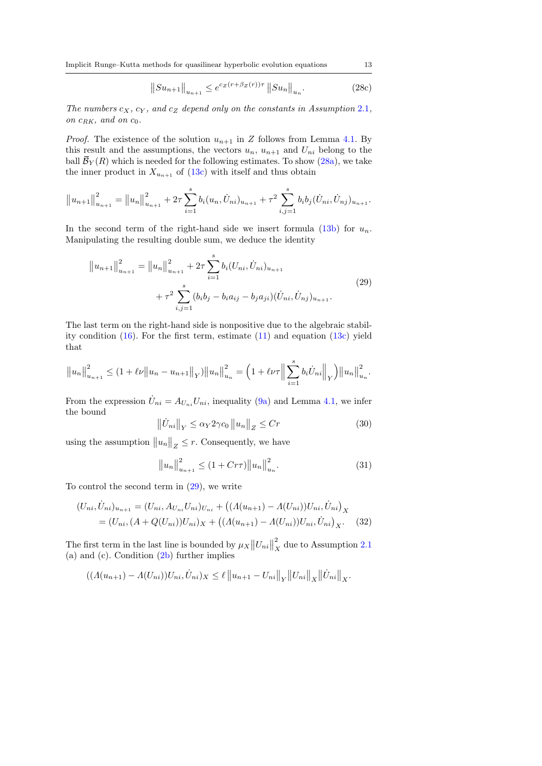Implicit Runge–Kutta methods for quasilinear hyperbolic evolution equations 13

<span id="page-12-4"></span>
$$
||Su_{n+1}||_{u_{n+1}} \le e^{cz(r+\beta z(r))\tau} ||Su_n||_{u_n}.
$$
 (28c)

The numbers  $c_X$ ,  $c_Y$ , and  $c_Z$  depend only on the constants in Assumption [2](#page-3-1).1, on  $c_{RK}$ , and on  $c_0$ .

*Proof.* The existence of the solution  $u_{n+1}$  in Z follows from Lemma [4.1.](#page-8-0) By this result and the assumptions, the vectors  $u_n$ ,  $u_{n+1}$  and  $U_{ni}$  belong to the ball  $\overline{\mathcal{B}}_Y(R)$  which is needed for the following estimates. To show [\(28a\)](#page-11-1), we take the inner product in  $X_{u_{n+1}}$  of [\(13c\)](#page-6-3) with itself and thus obtain

$$
||u_{n+1}||_{u_{n+1}}^2 = ||u_n||_{u_{n+1}}^2 + 2\tau \sum_{i=1}^s b_i(u_n, \dot{U}_{ni})_{u_{n+1}} + \tau^2 \sum_{i,j=1}^s b_i b_j(\dot{U}_{ni}, \dot{U}_{nj})_{u_{n+1}}.
$$

In the second term of the right-hand side we insert formula  $(13b)$  for  $u_n$ . Manipulating the resulting double sum, we deduce the identity

<span id="page-12-0"></span>
$$
||u_{n+1}||_{u_{n+1}}^2 = ||u_n||_{u_{n+1}}^2 + 2\tau \sum_{i=1}^s b_i (U_{ni}, \dot{U}_{ni})_{u_{n+1}} + \tau^2 \sum_{i,j=1}^s (b_i b_j - b_i a_{ij} - b_j a_{ji}) (\dot{U}_{ni}, \dot{U}_{nj})_{u_{n+1}}.
$$
\n(29)

The last term on the right-hand side is nonpositive due to the algebraic stability condition  $(16)$ . For the first term, estimate  $(11)$  and equation  $(13c)$  yield that

$$
||u_n||_{u_{n+1}}^2 \le (1 + \ell \nu ||u_n - u_{n+1}||_Y) ||u_n||_{u_n}^2 = \left(1 + \ell \nu \tau ||\sum_{i=1}^s b_i \dot{U}_{ni}||_Y\right) ||u_n||_{u_n}^2.
$$

From the expression  $\dot{U}_{ni} = A_{U_{ni}} U_{ni}$ , inequality [\(9a\)](#page-5-6) and Lemma [4.1,](#page-8-0) we infer the bound

<span id="page-12-1"></span>
$$
\left\|\dot{U}_{ni}\right\|_{Y} \leq \alpha_{Y} 2\gamma c_{0} \left\|u_{n}\right\|_{Z} \leq C r \tag{30}
$$

using the assumption  $||u_n||_Z \leq r$ . Consequently, we have

<span id="page-12-3"></span><span id="page-12-2"></span>
$$
||u_n||_{u_{n+1}}^2 \le (1 + Cr\tau)||u_n||_{u_n}^2.
$$
 (31)

To control the second term in  $(29)$ , we write

$$
(U_{ni}, \dot{U}_{ni})_{u_{n+1}} = (U_{ni}, A_{U_{ni}} U_{ni})_{U_{ni}} + ((A(u_{n+1}) - A(U_{ni})) U_{ni}, \dot{U}_{ni})_X
$$
  
=  $(U_{ni}, (A + Q(U_{ni})) U_{ni})_X + ((A(u_{n+1}) - A(U_{ni})) U_{ni}, \dot{U}_{ni})_X.$  (32)

The first term in the last line is bounded by  $\mu_X ||U_{ni}||$ 2  $\frac{2}{X}$  due to Assumption [2.1](#page-3-1) (a) and (c). Condition [\(2b\)](#page-3-7) further implies

$$
((\Lambda(u_{n+1}) - \Lambda(U_{ni}))U_{ni}, \dot{U}_{ni})_X \leq \ell ||u_{n+1} - U_{ni}||_Y ||U_{ni}||_X ||\dot{U}_{ni}||_X.
$$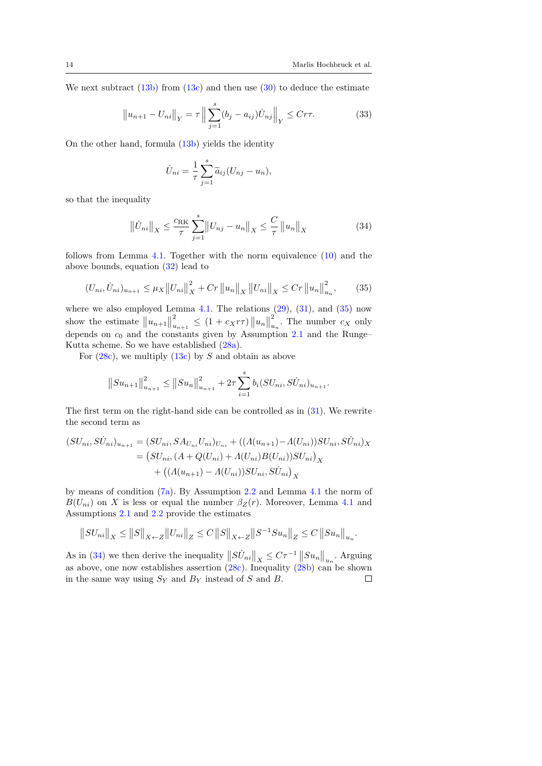We next subtract  $(13b)$  from  $(13c)$  and then use  $(30)$  to deduce the estimate

<span id="page-13-2"></span>
$$
||u_{n+1} - U_{ni}||_Y = \tau \left\| \sum_{j=1}^s (b_j - a_{ij}) \dot{U}_{nj} \right\|_Y \leq C r \tau.
$$
 (33)

On the other hand, formula [\(13b\)](#page-6-4) yields the identity

$$
\dot{U}_{ni} = \frac{1}{\tau} \sum_{j=1}^{s} \tilde{a}_{ij} (U_{nj} - u_n),
$$

so that the inequality

<span id="page-13-1"></span>
$$
\|\dot{U}_{ni}\|_{X} \le \frac{c_{\text{RK}}}{\tau} \sum_{j=1}^{s} \|U_{nj} - u_n\|_{X} \le \frac{C}{\tau} \|u_n\|_{X}
$$
(34)

follows from Lemma [4.1.](#page-8-0) Together with the norm equivalence [\(10\)](#page-5-0) and the above bounds, equation [\(32\)](#page-12-2) lead to

<span id="page-13-0"></span>
$$
(U_{ni}, \dot{U}_{ni})_{u_{n+1}} \le \mu_X ||U_{ni}||_X^2 + Cr ||u_n||_X ||U_{ni}||_X \le Cr ||u_n||_{u_n}^2, \qquad (35)
$$

where we also employed Lemma  $4.1$ . The relations  $(29)$ ,  $(31)$ , and  $(35)$  now show the estimate  $||u_{n+1}||$ 2  $\sum_{u_{n+1}}^{2} \leq (1 + c_X r \tau) \|u_n\|$ 2  $\sum_{u_n}^2$ . The number  $c_X$  only depends on  $c_0$  and the constants given by Assumption [2.1](#page-3-1) and the Runge– Kutta scheme. So we have established [\(28a\)](#page-11-1).

For  $(28c)$ , we multiply  $(13c)$  by S and obtain as above

$$
||Su_{n+1}||_{u_{n+1}}^2 \le ||Su_n||_{u_{n+1}}^2 + 2\tau \sum_{i=1}^s b_i (SU_{ni}, S\dot{U}_{ni})_{u_{n+1}}.
$$

The first term on the right-hand side can be controlled as in [\(31\)](#page-12-3). We rewrite the second term as

$$
(SU_{ni}, SU_{ni})_{u_{n+1}} = (SU_{ni}, SA_{U_{ni}} U_{ni})_{U_{ni}} + ((A(u_{n+1}) - A(U_{ni}))SU_{ni}, SU_{ni})_X
$$
  
= 
$$
(SU_{ni}, (A + Q(U_{ni}) + A(U_{ni})B(U_{ni}))SU_{ni})_X
$$
  
+ 
$$
((A(u_{n+1}) - A(U_{ni}))SU_{ni}, SU_{ni})_X
$$

by means of condition [\(7a\)](#page-4-5). By Assumption [2.2](#page-4-0) and Lemma [4.1](#page-8-0) the norm of  $B(U_{ni})$  on X is less or equal the number  $\beta_Z(r)$ . Moreover, Lemma [4.1](#page-8-0) and Assumptions [2.1](#page-3-1) and [2.2](#page-4-0) provide the estimates

$$
||SU_{ni}||_X \le ||S||_{X \leftarrow Z} ||U_{ni}||_Z \le C ||S||_{X \leftarrow Z} ||S^{-1} S u_n||_Z \le C ||S u_n||_{u_n}.
$$

As in [\(34\)](#page-13-1) we then derive the inequality  $||SU_{ni}||_X \leq C\tau^{-1} ||Su_n||_{u_n}$ . Arguing as above, one now establishes assertion [\(28c\)](#page-12-4). Inequality [\(28b\)](#page-11-2) can be shown in the same way using  $S_Y$  and  $B_Y$  instead of S and B.  $\Box$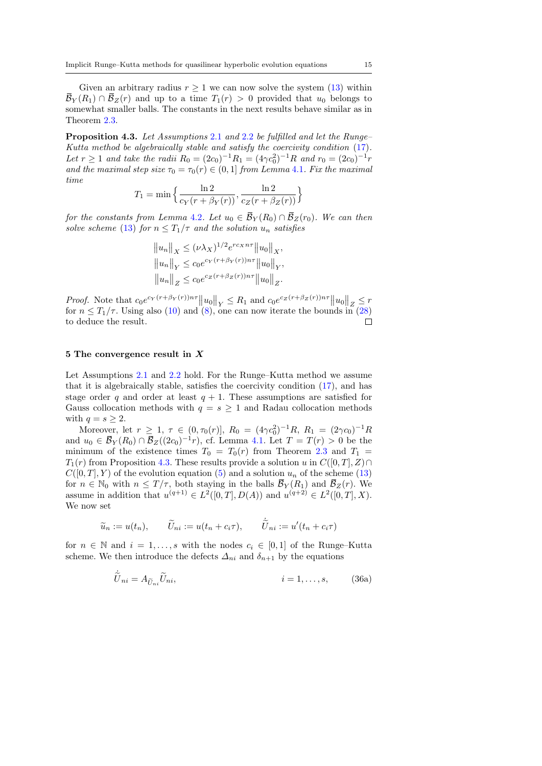Given an arbitrary radius  $r \geq 1$  we can now solve the system  $(13)$  within  $\overline{\mathcal{B}}_Y(R_1) \cap \overline{\mathcal{B}}_Z(r)$  and up to a time  $T_1(r) > 0$  provided that  $u_0$  belongs to somewhat smaller balls. The constants in the next results behave similar as in Theorem [2.3.](#page-4-1)

<span id="page-14-0"></span>Proposition 4.3. Let Assumptions [2](#page-4-0).1 and 2.2 be fulfilled and let the Runge– Kutta method be algebraically stable and satisfy the coercivity condition [\(17\)](#page-7-0). Let  $r \ge 1$  and take the radii  $R_0 = (2c_0)^{-1}R_1 = (4\gamma c_0^2)^{-1}R$  and  $r_0 = (2c_0)^{-1}r$ and the maximal step size  $\tau_0 = \tau_0(r) \in (0, 1]$  from Lemma [4](#page-8-0).1. Fix the maximal time

$$
T_1 = \min\left\{\frac{\ln 2}{c_Y(r + \beta_Y(r))}, \frac{\ln 2}{c_Z(r + \beta_Z(r))}\right\}
$$

for the constants from Lemma [4](#page-11-0).2. Let  $u_0 \in \overline{\mathcal{B}}_Y(R_0) \cap \overline{\mathcal{B}}_Z(r_0)$ . We can then solve scheme [\(13\)](#page-6-1) for  $n \leq T_1/\tau$  and the solution  $u_n$  satisfies

$$
||u_n||_X \leq (\nu \lambda_X)^{1/2} e^{rc_X n \tau} ||u_0||_X,
$$
  
\n
$$
||u_n||_Y \leq c_0 e^{c_Y (r + \beta_Y(r)) n \tau} ||u_0||_Y,
$$
  
\n
$$
||u_n||_Z \leq c_0 e^{c_Z (r + \beta_Z(r)) n \tau} ||u_0||_Z.
$$

*Proof.* Note that  $c_0e^{c_Y(r+\beta_Y(r))n\tau}||u_0||_Y \leq R_1$  and  $c_0e^{c_Z(r+\beta_Z(r))n\tau}||u_0||_Z \leq r$ for  $n \leq T_1/\tau$ . Using also [\(10\)](#page-5-0) and [\(8\)](#page-4-3), one can now iterate the bounds in [\(28\)](#page-11-3) to deduce the result.  $\Box$ 

#### <span id="page-14-2"></span>5 The convergence result in X

Let Assumptions [2.1](#page-3-1) and [2.2](#page-4-0) hold. For the Runge–Kutta method we assume that it is algebraically stable, satisfies the coercivity condition [\(17\)](#page-7-0), and has stage order q and order at least  $q + 1$ . These assumptions are satisfied for Gauss collocation methods with  $q = s \geq 1$  and Radau collocation methods with  $q = s \geq 2$ .

Moreover, let  $r \geq 1$ ,  $\tau \in (0, \tau_0(r)]$ ,  $R_0 = (4\gamma c_0^2)^{-1}R$ ,  $R_1 = (2\gamma c_0)^{-1}R$ and  $u_0 \in \overline{\mathcal{B}}_Y(R_0) \cap \overline{\mathcal{B}}_Z((2c_0)^{-1}r)$ , cf. Lemma [4.1.](#page-8-0) Let  $T = T(r) > 0$  be the minimum of the existence times  $T_0 = T_0(r)$  from Theorem [2.3](#page-4-1) and  $T_1 =$  $T_1(r)$  from Proposition [4.3.](#page-14-0) These results provide a solution u in  $C([0, T], Z) \cap$  $C([0,T], Y)$  of the evolution equation [\(5\)](#page-3-4) and a solution  $u_n$  of the scheme [\(13\)](#page-6-1) for  $n \in \mathbb{N}_0$  with  $n \leq T/\tau$ , both staying in the balls  $\overline{\mathcal{B}}_Y(R_1)$  and  $\overline{\mathcal{B}}_Z(r)$ . We assume in addition that  $u^{(q+1)} \in L^2([0,T], D(A))$  and  $u^{(q+2)} \in L^2([0,T], X)$ . We now set

$$
\widetilde{u}_n := u(t_n), \qquad \widetilde{U}_{ni} := u(t_n + c_i \tau), \qquad \widetilde{U}_{ni} := u'(t_n + c_i \tau)
$$

for  $n \in \mathbb{N}$  and  $i = 1, \ldots, s$  with the nodes  $c_i \in [0, 1]$  of the Runge–Kutta scheme. We then introduce the defects  $\Delta_{ni}$  and  $\delta_{n+1}$  by the equations

<span id="page-14-1"></span>
$$
\dot{\tilde{U}}_{ni} = A_{\tilde{U}_{ni}} \tilde{U}_{ni}, \qquad i = 1, \dots, s, \qquad (36a)
$$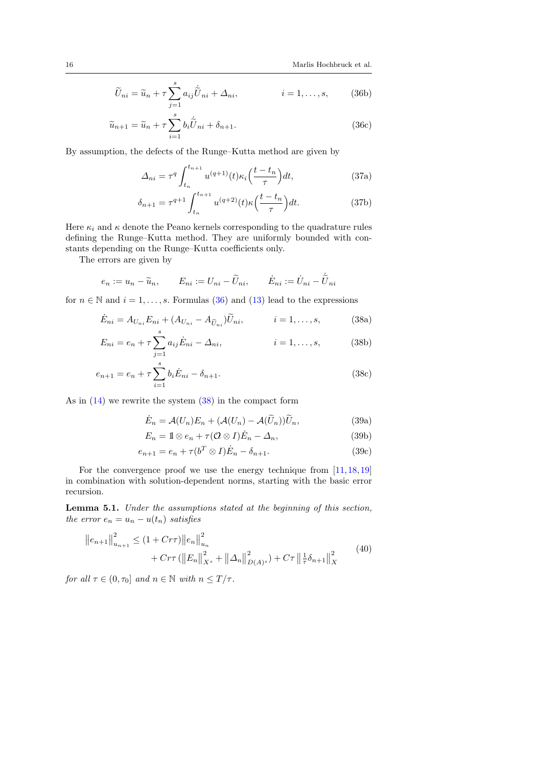$$
\widetilde{U}_{ni} = \widetilde{u}_n + \tau \sum_{j=1}^{s} a_{ij} \widetilde{U}_{ni} + \Delta_{ni}, \qquad i = 1, \dots, s,
$$
 (36b)

$$
\widetilde{u}_{n+1} = \widetilde{u}_n + \tau \sum_{i=1}^{s} b_i \widetilde{U}_{ni} + \delta_{n+1}.
$$
\n(36c)

By assumption, the defects of the Runge–Kutta method are given by

<span id="page-15-6"></span>
$$
\Delta_{ni} = \tau^q \int_{t_n}^{t_{n+1}} u^{(q+1)}(t) \kappa_i \left(\frac{t - t_n}{\tau}\right) dt,\tag{37a}
$$

<span id="page-15-0"></span>
$$
\delta_{n+1} = \tau^{q+1} \int_{t_n}^{t_{n+1}} u^{(q+2)}(t) \kappa \left(\frac{t - t_n}{\tau}\right) dt.
$$
 (37b)

Here  $\kappa_i$  and  $\kappa$  denote the Peano kernels corresponding to the quadrature rules defining the Runge–Kutta method. They are uniformly bounded with constants depending on the Runge–Kutta coefficients only.

The errors are given by

$$
e_n := u_n - \widetilde{u}_n, \qquad E_{ni} := U_{ni} - \widetilde{U}_{ni}, \qquad \dot{E}_{ni} := \dot{U}_{ni} - \dot{\widetilde{U}}_{ni}
$$

for  $n \in \mathbb{N}$  and  $i = 1, \ldots, s$ . Formulas [\(36\)](#page-14-1) and [\(13\)](#page-6-1) lead to the expressions

$$
\dot{E}_{ni} = A_{U_{ni}} E_{ni} + (A_{U_{ni}} - A_{\widetilde{U}_{ni}}) \widetilde{U}_{ni}, \qquad i = 1, \dots, s,
$$
\n(38a)

$$
E_{ni} = e_n + \tau \sum_{j=1}^{s} a_{ij} \dot{E}_{ni} - \Delta_{ni}, \qquad i = 1, ..., s,
$$
 (38b)

$$
e_{n+1} = e_n + \tau \sum_{i=1}^{s} b_i \dot{E}_{ni} - \delta_{n+1}.
$$
\n(38c)

As in [\(14\)](#page-6-2) we rewrite the system [\(38\)](#page-15-0) in the compact form

<span id="page-15-5"></span><span id="page-15-4"></span><span id="page-15-3"></span><span id="page-15-1"></span>
$$
\dot{E}_n = \mathcal{A}(U_n)E_n + (\mathcal{A}(U_n) - \mathcal{A}(\tilde{U}_n))\tilde{U}_n, \tag{39a}
$$

$$
E_n = 1 \otimes e_n + \tau (0 \otimes I) \dot{E}_n - \Delta_n, \tag{39b}
$$

$$
e_{n+1} = e_n + \tau(b^T \otimes I)\dot{E}_n - \delta_{n+1}.
$$
\n(39c)

For the convergence proof we use the energy technique from  $[11,18,19]$  $[11,18,19]$  $[11,18,19]$ in combination with solution-dependent norms, starting with the basic error recursion.

<span id="page-15-7"></span>Lemma 5.1. Under the assumptions stated at the beginning of this section, the error  $e_n = u_n - u(t_n)$  satisfies

<span id="page-15-2"></span>
$$
||e_{n+1}||_{u_{n+1}}^2 \le (1 + Cr\tau)||e_n||_{u_n}^2 + Cr\tau (||E_n||_{X^s}^2 + ||\Delta_n||_{D(A)^s}^2) + C\tau ||\frac{1}{\tau}\delta_{n+1}||_X^2
$$
 (40)

for all  $\tau \in (0, \tau_0]$  and  $n \in \mathbb{N}$  with  $n \leq T/\tau$ .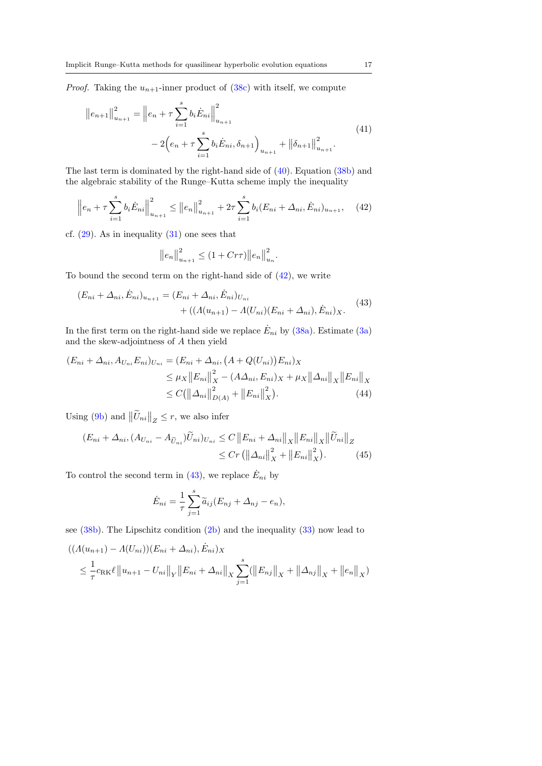*Proof.* Taking the  $u_{n+1}$ -inner product of [\(38c\)](#page-15-1) with itself, we compute

<span id="page-16-2"></span>
$$
||e_{n+1}||_{u_{n+1}}^2 = ||e_n + \tau \sum_{i=1}^s b_i \dot{E}_{ni}||_{u_{n+1}}^2
$$
  

$$
- 2(e_n + \tau \sum_{i=1}^s b_i \dot{E}_{ni}, \delta_{n+1})_{u_{n+1}} + ||\delta_{n+1}||_{u_{n+1}}^2.
$$
 (41)

The last term is dominated by the right-hand side of [\(40\)](#page-15-2). Equation [\(38b\)](#page-15-3) and the algebraic stability of the Runge–Kutta scheme imply the inequality

<span id="page-16-0"></span>
$$
\left\| e_n + \tau \sum_{i=1}^s b_i \dot{E}_{ni} \right\|_{u_{n+1}}^2 \leq \left\| e_n \right\|_{u_{n+1}}^2 + 2\tau \sum_{i=1}^s b_i (E_{ni} + \Delta_{ni}, \dot{E}_{ni})_{u_{n+1}}, \quad (42)
$$

cf.  $(29)$ . As in inequality  $(31)$  one sees that

$$
||e_n||_{u_{n+1}}^2 \le (1 + Cr\tau) ||e_n||_{u_n}^2.
$$

To bound the second term on the right-hand side of [\(42\)](#page-16-0), we write

<span id="page-16-1"></span>
$$
(E_{ni} + \Delta_{ni}, \dot{E}_{ni})_{u_{n+1}} = (E_{ni} + \Delta_{ni}, \dot{E}_{ni})_{U_{ni}} + ((A(u_{n+1}) - A(U_{ni})(E_{ni} + \Delta_{ni}), \dot{E}_{ni})_X.
$$
(43)

In the first term on the right-hand side we replace  $\dot{E}_{ni}$  by [\(38a\)](#page-15-4). Estimate [\(3a\)](#page-3-8) and the skew-adjointness of A then yield

$$
(E_{ni} + \Delta_{ni}, A_{U_{ni}} E_{ni})_{U_{ni}} = (E_{ni} + \Delta_{ni}, (A + Q(U_{ni})) E_{ni})_X
$$
  
\n
$$
\leq \mu_X ||E_{ni}||_X^2 - (A\Delta_{ni}, E_{ni})_X + \mu_X ||\Delta_{ni}||_X ||E_{ni}||_X
$$
  
\n
$$
\leq C(||\Delta_{ni}||_{D(A)}^2 + ||E_{ni}||_X^2).
$$
\n(44)

Using [\(9b\)](#page-5-7) and  $\|\tilde{U}_{ni}\|_Z \leq r$ , we also infer

$$
(E_{ni} + \Delta_{ni}, (A_{U_{ni}} - A_{\widetilde{U}_{ni}}) \widetilde{U}_{ni})_{U_{ni}} \le C \|E_{ni} + \Delta_{ni}\|_{X} \|E_{ni}\|_{X} \|\widetilde{U}_{ni}\|_{Z}
$$
  
 
$$
\le C r (\|\Delta_{ni}\|_{X}^{2} + \|E_{ni}\|_{X}^{2}). \tag{45}
$$

To control the second term in [\(43\)](#page-16-1), we replace  $\dot{E}_{ni}$  by

<span id="page-16-4"></span><span id="page-16-3"></span>
$$
\dot{E}_{ni} = \frac{1}{\tau} \sum_{j=1}^{s} \widetilde{a}_{ij} (E_{nj} + \Delta_{nj} - e_n),
$$

see [\(38b\)](#page-15-3). The Lipschitz condition [\(2b\)](#page-3-7) and the inequality [\(33\)](#page-13-2) now lead to

$$
((\Lambda(u_{n+1}) - \Lambda(U_{ni})) (E_{ni} + \Delta_{ni}), \dot{E}_{ni})_X
$$
  
\n
$$
\leq \frac{1}{\tau} c_{\text{RK}} \ell \|u_{n+1} - U_{ni}\|_Y \|E_{ni} + \Delta_{ni}\|_X \sum_{j=1}^s (||E_{nj}||_X + ||\Delta_{nj}||_X + ||e_n||_X)
$$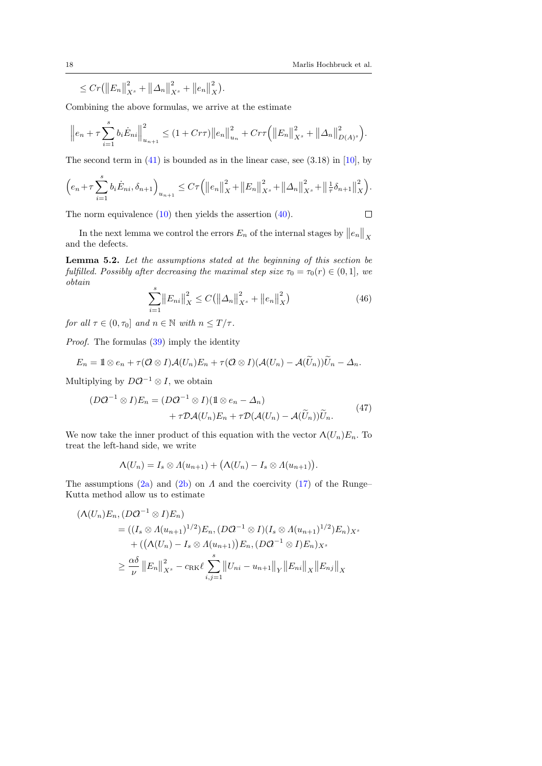.

 $\Box$ 

 $\leq C r (||E_n||)$  $\frac{2}{X^s} + ||\Delta_n||$  $\frac{2}{X^s} + ||e_n||$ 2  $\frac{z}{X}$ .

Combining the above formulas, we arrive at the estimate

$$
\left\|e_{n} + \tau \sum_{i=1}^{s} b_{i} \dot{E}_{ni}\right\|_{u_{n+1}}^{2} \leq (1 + C\tau\tau) \left\|e_{n}\right\|_{u_{n}}^{2} + C\tau\tau \left(\left\|E_{n}\right\|_{X^{s}}^{2} + \left\|\Delta_{n}\right\|_{D(A)^{s}}^{2}\right).
$$

The second term in  $(41)$  is bounded as in the linear case, see  $(3.18)$  in [\[10\]](#page-20-6), by

$$
\left(e_n + \tau \sum_{i=1}^s b_i \dot{E}_{ni}, \delta_{n+1}\right)_{u_{n+1}} \leq C\tau \left(\left\|e_n\right\|_{X}^2 + \left\|E_n\right\|_{X^s}^2 + \left\|\Delta_n\right\|_{X^s}^2 + \left\|\frac{1}{\tau}\delta_{n+1}\right\|_{X}^2\right)
$$

The norm equivalence [\(10\)](#page-5-0) then yields the assertion [\(40\)](#page-15-2).

In the next lemma we control the errors  $E_n$  of the internal stages by  $||e_n||_X$ and the defects.

<span id="page-17-1"></span>Lemma 5.2. Let the assumptions stated at the beginning of this section be fulfilled. Possibly after decreasing the maximal step size  $\tau_0 = \tau_0(r) \in (0, 1]$ , we obtain

<span id="page-17-2"></span>
$$
\sum_{i=1}^{s} \|E_{ni}\|_{X}^{2} \le C \left(\left\|\Delta_{n}\right\|_{X^{s}}^{2} + \left\|e_{n}\right\|_{X}^{2}\right)
$$
\n(46)

for all  $\tau \in (0, \tau_0]$  and  $n \in \mathbb{N}$  with  $n \leq T/\tau$ .

Proof. The formulas [\(39\)](#page-15-5) imply the identity

$$
E_n = 1 \otimes e_n + \tau (0 \otimes I) \mathcal{A}(U_n) E_n + \tau (0 \otimes I) (\mathcal{A}(U_n) - \mathcal{A}(\widetilde{U}_n)) \widetilde{U}_n - \Delta_n.
$$

Multiplying by  $D\mathcal{Q}^{-1}\otimes I$ , we obtain

<span id="page-17-0"></span>
$$
(D\mathcal{Q}^{-1}\otimes I)E_n = (D\mathcal{Q}^{-1}\otimes I)(\mathbb{1}\otimes e_n - \Delta_n) + \tau \mathcal{D}\mathcal{A}(U_n)E_n + \tau \mathcal{D}(\mathcal{A}(U_n) - \mathcal{A}(\widetilde{U}_n))\widetilde{U}_n.
$$
(47)

We now take the inner product of this equation with the vector  $\Lambda(U_n)E_n$ . To treat the left-hand side, we write

$$
\Lambda(U_n)=I_s\otimes\Lambda(u_{n+1})+\big(\Lambda(U_n)-I_s\otimes\Lambda(u_{n+1})\big).
$$

The assumptions [\(2a\)](#page-3-5) and [\(2b\)](#page-3-7) on  $\Lambda$  and the coercivity [\(17\)](#page-7-0) of the Runge– Kutta method allow us to estimate

$$
(\Lambda(U_n)E_n, (DQ^{-1} \otimes I)E_n)
$$
  
=  $((I_s \otimes \Lambda(u_{n+1})^{1/2})E_n, (DQ^{-1} \otimes I)(I_s \otimes \Lambda(u_{n+1})^{1/2})E_n)_{X^s}$   
+  $((\Lambda(U_n) - I_s \otimes \Lambda(u_{n+1}))E_n, (DQ^{-1} \otimes I)E_n)_{X^s}$   
 $\geq \frac{\alpha\delta}{\nu} ||E_n||_{X^s}^2 - c_{\text{RK}}\ell \sum_{i,j=1}^s ||U_{ni} - u_{n+1}||_Y ||E_{ni}||_X ||E_{nj}||_X$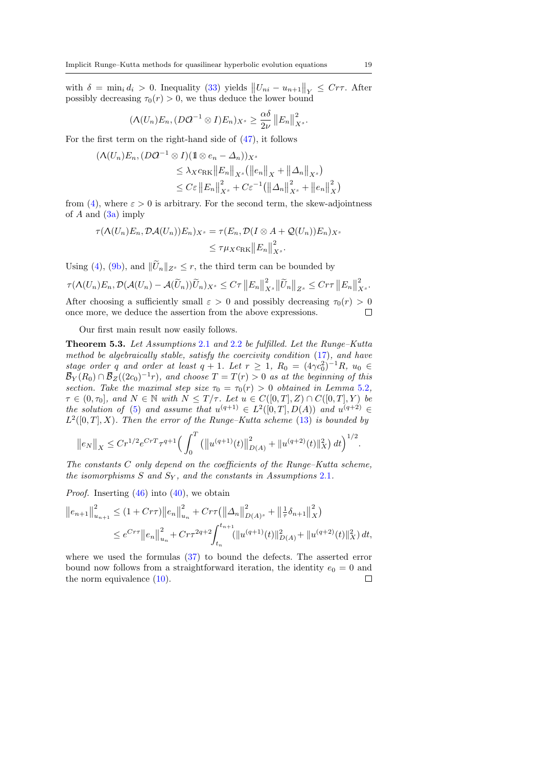with  $\delta = \min_i d_i > 0$ . Inequality [\(33\)](#page-13-2) yields  $||U_{ni} - u_{n+1}||_Y \leq C r \tau$ . After possibly decreasing  $\tau_0(r) > 0$ , we thus deduce the lower bound

$$
(\Lambda(U_n)E_n, (D\mathcal{Q}^{-1}\otimes I)E_n)_{X^s}\geq \frac{\alpha\delta}{2\nu}\left\|E_n\right\|_{X^s}^2.
$$

For the first term on the right-hand side of [\(47\)](#page-17-0), it follows

$$
(\Lambda(U_n)E_n, (D\mathcal{Q}^{-1} \otimes I)(\mathbb{1} \otimes e_n - \Delta_n))_{X^s}
$$
  
\n
$$
\leq \lambda_X c_{\text{RK}} ||E_n||_{X^s} (||e_n||_X + ||\Delta_n||_{X^s})
$$
  
\n
$$
\leq C\varepsilon ||E_n||_{X^s}^2 + C\varepsilon^{-1} (||\Delta_n||_{X^s}^2 + ||e_n||_X^2)
$$

from [\(4\)](#page-3-6), where  $\varepsilon > 0$  is arbitrary. For the second term, the skew-adjointness of  $A$  and  $(3a)$  imply

$$
\tau(\Lambda(U_n)E_n, \mathcal{D}\mathcal{A}(U_n))E_n)_{X^s} = \tau(E_n, \mathcal{D}(I \otimes A + \mathcal{Q}(U_n))E_n)_{X^s}
$$

$$
\leq \tau \mu_X c_{\text{RK}} ||E_n||_{X^s}^2.
$$

Using [\(4\)](#page-3-6), [\(9b\)](#page-5-7), and  $\|\widetilde{U}_n\|_{Z^s} \leq r$ , the third term can be bounded by

$$
\tau(\Lambda(U_n)E_n,\mathcal{D}(\mathcal{A}(U_n)-\mathcal{A}(\widetilde{U}_n))\widetilde{U}_n)_{X^s}\leq C\tau\left\|E_n\right\|_{X^s}^2\left\|\widetilde{U}_n\right\|_{Z^s}\leq C r\tau\left\|E_n\right\|_{X^s}^2.
$$

After choosing a sufficiently small  $\varepsilon > 0$  and possibly decreasing  $\tau_0(r) > 0$ once more, we deduce the assertion from the above expressions.  $\Box$ 

Our first main result now easily follows.

<span id="page-18-0"></span>Theorem 5.3. Let Assumptions [2](#page-3-1).1 and [2](#page-4-0).2 be fulfilled. Let the Runge–Kutta method be algebraically stable, satisfy the coercivity condition [\(17\)](#page-7-0), and have stage order q and order at least  $q + 1$ . Let  $r \geq 1$ ,  $R_0 = (4\gamma c_0^2)^{-1}R$ ,  $u_0 \in$  $\bar{\mathcal{B}}_Y(R_0) \cap \bar{\mathcal{B}}_Z((2c_0)^{-1}r)$ , and choose  $T = T(r) > 0$  as at the beginning of this section. Take the maximal step size  $\tau_0 = \tau_0(r) > 0$  obtained in Lemma [5](#page-17-1).2,  $\tau \in (0, \tau_0],$  and  $N \in \mathbb{N}$  with  $N \leq T/\tau$ . Let  $u \in C([0, T], Z) \cap C([0, T], Y)$  be the solution of [\(5\)](#page-3-4) and assume that  $u^{(q+1)} \in L^2([0,T],D(A))$  and  $u^{(q+2)} \in$  $L^2([0,T], X)$ . Then the error of the Runge–Kutta scheme [\(13\)](#page-6-1) is bounded by

$$
\|e_N\|_X \le Cr^{1/2}e^{CrT}\tau^{q+1}\Big(\int_0^T \big(\big\|u^{(q+1)}(t)\big\|_{D(A)}^2 + \|u^{(q+2)}(t)\|_X^2\big) dt\Big)^{1/2}.
$$

The constants C only depend on the coefficients of the Runge–Kutta scheme, the isomorphisms  $S$  and  $S_Y$ , and the constants in Assumptions [2](#page-3-1).1.

*Proof.* Inserting  $(46)$  into  $(40)$ , we obtain

$$
||e_{n+1}||_{u_{n+1}}^2 \le (1 + Cr\tau)||e_n||_{u_n}^2 + Cr\tau(||\Delta_n||_{D(A)^s}^2 + ||\frac{1}{\tau}\delta_{n+1}||_X^2)
$$
  

$$
\le e^{Cr\tau}||e_n||_{u_n}^2 + Cr\tau^{2q+2} \int_{t_n}^{t_{n+1}} (||u^{(q+1)}(t)||_{D(A)}^2 + ||u^{(q+2)}(t)||_X^2) dt,
$$

where we used the formulas [\(37\)](#page-15-6) to bound the defects. The asserted error bound now follows from a straightforward iteration, the identity  $e_0 = 0$  and the norm equivalence  $(10)$ .  $\Box$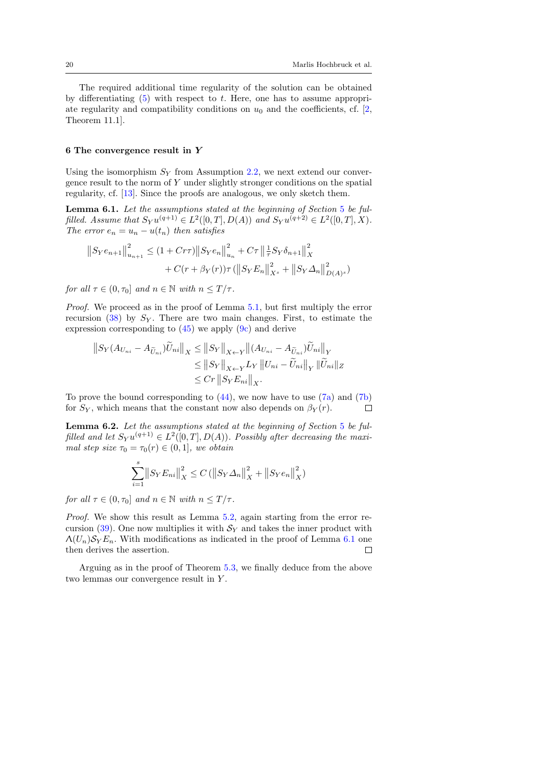The required additional time regularity of the solution can be obtained by differentiating  $(5)$  with respect to t. Here, one has to assume appropriate regularity and compatibility conditions on  $u_0$  and the coefficients, cf. [\[2,](#page-20-9) Theorem 11.1].

#### 6 The convergence result in Y

Using the isomorphism  $S_Y$  from Assumption [2.2,](#page-4-0) we next extend our convergence result to the norm of Y under slightly stronger conditions on the spatial regularity, cf. [\[13\]](#page-20-4). Since the proofs are analogous, we only sketch them.

<span id="page-19-0"></span>Lemma 6.1. Let the assumptions stated at the beginning of Section [5](#page-14-2) be fulfilled. Assume that  $S_Y u^{(q+1)} \in L^2([0,T], D(A))$  and  $S_Y u^{(q+2)} \in L^2([0,T], X)$ . The error  $e_n = u_n - u(t_n)$  then satisfies

$$
||S_Y e_{n+1}||_{u_{n+1}}^2 \le (1 + C\tau\tau) ||S_Y e_n||_{u_n}^2 + C\tau ||\frac{1}{\tau} S_Y \delta_{n+1}||_X^2
$$
  
+  $C(r + \beta_Y(r))\tau (||S_Y E_n||_{X^s}^2 + ||S_Y \Delta_n||_{D(A)^s}^2)$ 

for all  $\tau \in (0, \tau_0]$  and  $n \in \mathbb{N}$  with  $n \leq T/\tau$ .

Proof. We proceed as in the proof of Lemma [5.1,](#page-15-7) but first multiply the error recursion [\(38\)](#page-15-0) by  $S_Y$ . There are two main changes. First, to estimate the expression corresponding to  $(45)$  we apply  $(9c)$  and derive

$$
||S_Y(A_{U_{ni}} - A_{\widetilde{U}_{ni}})\widetilde{U}_{ni}||_X \le ||S_Y||_{X \leftarrow Y} ||(A_{U_{ni}} - A_{\widetilde{U}_{ni}})\widetilde{U}_{ni}||_Y
$$
  
\n
$$
\le ||S_Y||_{X \leftarrow Y}L_Y ||U_{ni} - \widetilde{U}_{ni}||_Y ||\widetilde{U}_{ni}||_Z
$$
  
\n
$$
\le Cr ||S_YE_{ni}||_X.
$$

To prove the bound corresponding to  $(44)$ , we now have to use  $(7a)$  and  $(7b)$ for  $S_Y$ , which means that the constant now also depends on  $\beta_Y(r)$ .  $\Box$ 

<span id="page-19-1"></span>Lemma 6.2. Let the assumptions stated at the beginning of Section [5](#page-14-2) be fulfilled and let  $S_Y u^{(q+1)} \in L^2([0,T],D(A))$ . Possibly after decreasing the maximal step size  $\tau_0 = \tau_0(r) \in (0, 1]$ , we obtain

$$
\sum_{i=1}^{s} \|S_Y E_{ni}\|_X^2 \le C \left( \|S_Y \Delta_n\|_X^2 + \|S_Y e_n\|_X^2 \right)
$$

for all  $\tau \in (0, \tau_0]$  and  $n \in \mathbb{N}$  with  $n \leq T/\tau$ .

Proof. We show this result as Lemma [5.2,](#page-17-1) again starting from the error recursion  $(39)$ . One now multiplies it with  $\mathcal{S}_Y$  and takes the inner product with  $\Lambda(U_n)\mathcal{S}_Y E_n$ . With modifications as indicated in the proof of Lemma [6.1](#page-19-0) one then derives the assertion.  $\Box$ 

Arguing as in the proof of Theorem [5.3,](#page-18-0) we finally deduce from the above two lemmas our convergence result in Y .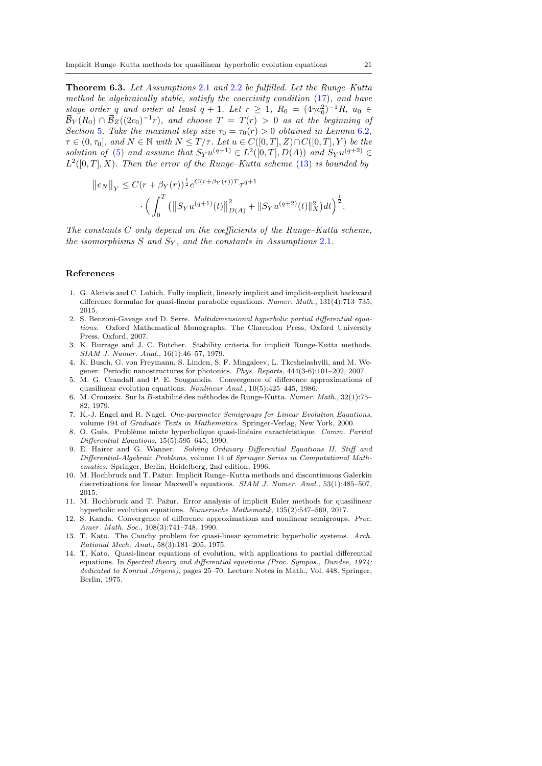<span id="page-20-7"></span>Theorem 6.3. Let Assumptions [2](#page-3-1).1 and [2](#page-4-0).2 be fulfilled. Let the Runge–Kutta method be algebraically stable, satisfy the coercivity condition [\(17\)](#page-7-0), and have stage order q and order at least  $q + 1$ . Let  $r \geq 1$ ,  $R_0 = (4\gamma c_0^2)^{-1}R$ ,  $u_0 \in$  $\bar{\mathcal{B}}_Y(R_0)\cap \bar{\mathcal{B}}_Z((2c_0)^{-1}r),$  and choose  $T\,=\,T(r)\,>\,0$  as at the beginning of Section [5](#page-14-2). Take the maximal step size  $\tau_0 = \tau_0(r) > 0$  obtained in Lemma [6](#page-19-1).2,  $\tau \in (0, \tau_0],$  and  $N \in \mathbb{N}$  with  $N \leq T/\tau$ . Let  $u \in C([0, T], Z) \cap C([0, T], Y)$  be the solution of [\(5\)](#page-3-4) and assume that  $S_Y u^{(q+1)} \in L^2([0,T], D(A))$  and  $S_Y u^{(q+2)} \in$  $L^2([0,T], X)$ . Then the error of the Runge–Kutta scheme [\(13\)](#page-6-1) is bounded by

$$
||e_N||_Y \leq C(r + \beta_Y(r))^{\frac{1}{2}} e^{C(r + \beta_Y(r))T} \tau^{q+1}
$$

$$
\cdot \left( \int_0^T (||S_Y u^{(q+1)}(t)||^2_{D(A)} + ||S_Y u^{(q+2)}(t)||^2_X) dt \right)^{\frac{1}{2}}.
$$

The constants  $C$  only depend on the coefficients of the Runge–Kutta scheme, the isomorphisms S and  $S_Y$ , and the constants in Assumptions [2](#page-3-1).1.

## References

- <span id="page-20-3"></span>1. G. Akrivis and C. Lubich. Fully implicit, linearly implicit and implicit-explicit backward difference formulae for quasi-linear parabolic equations. Numer. Math., 131(4):713–735, 2015.
- <span id="page-20-9"></span>2. S. Benzoni-Gavage and D. Serre. Multidimensional hyperbolic partial differential equations. Oxford Mathematical Monographs. The Clarendon Press, Oxford University Press, Oxford, 2007.
- <span id="page-20-13"></span>3. K. Burrage and J. C. Butcher. Stability criteria for implicit Runge-Kutta methods. SIAM J. Numer. Anal., 16(1):46–57, 1979.
- <span id="page-20-12"></span>4. K. Busch, G. von Freymann, S. Linden, S. F. Mingaleev, L. Tkeshelashvili, and M. Wegener. Periodic nanostructures for photonics. Phys. Reports, 444(3-6):101–202, 2007.
- <span id="page-20-1"></span>5. M. G. Crandall and P. E. Souganidis. Convergence of difference approximations of quasilinear evolution equations. Nonlinear Anal., 10(5):425–445, 1986.
- <span id="page-20-14"></span>6. M. Crouzeix. Sur la B-stabilité des méthodes de Runge-Kutta. Numer. Math.,  $32(1):75-$ 82, 1979.
- <span id="page-20-11"></span>7. K.-J. Engel and R. Nagel. One-parameter Semigroups for Linear Evolution Equations, volume 194 of Graduate Texts in Mathematics. Springer-Verlag, New York, 2000.
- <span id="page-20-10"></span>8. O. Guès. Problème mixte hyperbolique quasi-linéaire caractéristique. Comm. Partial Differential Equations, 15(5):595–645, 1990.
- <span id="page-20-8"></span>9. E. Hairer and G. Wanner. Solving Ordinary Differential Equations II. Stiff and Differential-Algebraic Problems, volume 14 of Springer Series in Computational Mathematics. Springer, Berlin, Heidelberg, 2nd edition, 1996.
- <span id="page-20-6"></span>10. M. Hochbruck and T. Pažur. Implicit Runge–Kutta methods and discontinuous Galerkin discretizations for linear Maxwell's equations. SIAM J. Numer. Anal., 53(1):485–507, 2015.
- <span id="page-20-5"></span>11. M. Hochbruck and T. Pažur. Error analysis of implicit Euler methods for quasilinear hyperbolic evolution equations. Numerische Mathematik, 135(2):547–569, 2017.
- <span id="page-20-0"></span>12. S. Kanda. Convergence of difference approximations and nonlinear semigroups. Proc. Amer. Math. Soc., 108(3):741–748, 1990.
- <span id="page-20-4"></span>13. T. Kato. The Cauchy problem for quasi-linear symmetric hyperbolic systems. Arch. Rational Mech. Anal., 58(3):181–205, 1975.
- <span id="page-20-2"></span>14. T. Kato. Quasi-linear equations of evolution, with applications to partial differential equations. In Spectral theory and differential equations (Proc. Sympos., Dundee, 1974; dedicated to Konrad Jörgens), pages 25–70. Lecture Notes in Math., Vol. 448. Springer, Berlin, 1975.